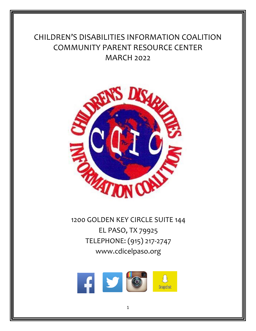# CHILDREN'S DISABILITIES INFORMATION COALITION COMMUNITY PARENT RESOURCE CENTER MARCH 2022



1200 GOLDEN KEY CIRCLE SUITE 144 EL PASO, TX 79925 TELEPHONE: (915) 217-2747 www.cdicelpaso.org

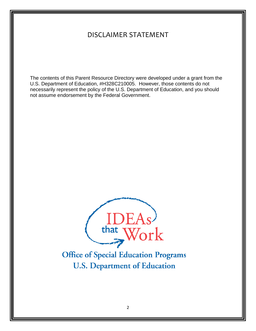# DISCLAIMER STATEMENT

The contents of this Parent Resource Directory were developed under a grant from the U.S. Department of Education, #H328C210005. However, those contents do not necessarily represent the policy of the U.S. Department of Education, and you should not assume endorsement by the Federal Government.



**Office of Special Education Programs U.S. Department of Education**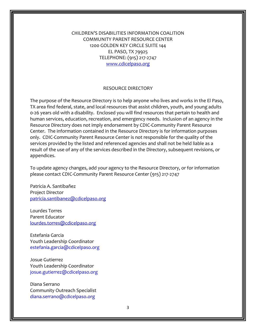CHILDREN'S DISABILITIES INFORMATION COALITION COMMUNITY PARENT RESOURCE CENTER 1200 GOLDEN KEY CIRCLE SUITE 144 EL PASO, TX 79925 TELEPHONE: (915) 217-2747 [www.cdicelpaso.org](http://www.cdicelpaso.org/)

#### RESOURCE DIRECTORY

The purpose of the Resource Directory is to help anyone who lives and works in the El Paso, TX area find federal, state, and local resources that assist children, youth, and young adults 0-26 years old with a disability. Enclosed you will find resources that pertain to health and human services, education, recreation, and emergency needs. Inclusion of an agency in the Resource Directory does not imply endorsement by CDIC-Community Parent Resource Center. The information contained in the Resource Directory is for information purposes only. CDIC-Community Parent Resource Center is not responsible for the quality of the services provided by the listed and referenced agencies and shall not be held liable as a result of the use of any of the services described in the Directory, subsequent revisions, or appendices.

To update agency changes, add your agency to the Resource Directory, or for information please contact CDIC-Community Parent Resource Center (915) 217-2747

Patricia A. Santibañez Project Director [patricia.santibanez@cdicelpaso.org](mailto:patricia.santibanez@cdicelpaso.org)

Lourdes Torres Parent Educator [lourdes.torres@cdicelpaso.org](mailto:lourdes.torres@cdicelpaso.org)

Estefania Garcia Youth Leadership Coordinator estefania.garcia@cdicelpaso.org

Josue Gutierrez Youth Leadership Coordinator josue.gutierrez@cdicelpaso.org

Diana Serrano Community Outreach Specialist diana.serrano@cdicelpaso.org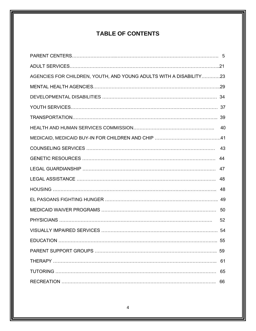# **TABLE OF CONTENTS**

| AGENCIES FOR CHILDREN, YOUTH, AND YOUNG ADULTS WITH A DISABILITY23 |    |
|--------------------------------------------------------------------|----|
|                                                                    |    |
|                                                                    |    |
|                                                                    |    |
|                                                                    |    |
|                                                                    |    |
|                                                                    |    |
|                                                                    |    |
|                                                                    | 44 |
|                                                                    |    |
|                                                                    |    |
|                                                                    |    |
|                                                                    |    |
|                                                                    |    |
|                                                                    | 52 |
|                                                                    |    |
|                                                                    | 55 |
|                                                                    |    |
|                                                                    | 61 |
|                                                                    | 65 |
|                                                                    | 66 |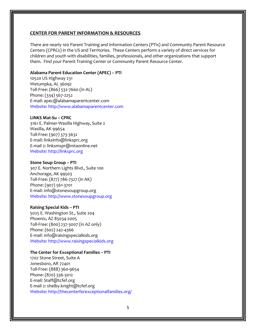#### **CENTER FOR PARENT INFORMATION & RESOURCES**

There are nearly 100 Parent Training and Information Centers (PTIs) and Community Parent Resource Centers (CPRCs) in the US and Territories. These Centers perform a variety of direct services for children and youth with disabilities, families, professionals, and other organizations that support them. Find your Parent Training Center or Community Parent Resource Center.

#### **Alabama Parent Education Center (APEC) – PTI**

10520 US Highway 231 Wetumpka, AL 36092 Toll-Free: (866) 532-7660 (in AL) Phone: (334) 567-2252 E-mail: apec@alabamaparentcenter.com Website: http://www.alabamaparentcenter.com

#### **LINKS Mat-Su – CPRC**

3161 E. Palmer-Wasilla Highway, Suite 2 Wasilla, AK 99654 Toll-Free: (907) 373-3632 E-mail: linksinfo@linksprc.org E-mail 2: linksmspr@mtaonline.net Website: http://linksprc.org

#### **Stone Soup Group – PTI**

307 E. Northern Lights Blvd., Suite 100 Anchorage, AK 99503 Toll-Free: (877) 786-7327 (in AK) Phone: (907) 561-3701 E-mail: info@stonesoupgroup.org Website: http://www.stonesoupgroup.org

#### **Raising Special Kids – PTI**

5025 E. Washington St., Suite 204 Phoenix, AZ 85034-2005 Toll-Free: (800) 237-3007 (in AZ only) Phone: (602) 242-4366 E-mail: info@raisingspecialkids.org Website: http://www.raisingspecialkids.org

#### **The Center for Exceptional Families – PTI**

1702 Stone Street, Suite A Jonesboro, AR 72401 Toll-Free: (888) 360-9654 Phone: (870) 336-3012 E-mail: Staff@tcfef.org E-mail 2: shelby.knight@tcfef.org Website: http://thecenterforexceptionalfamilies.org/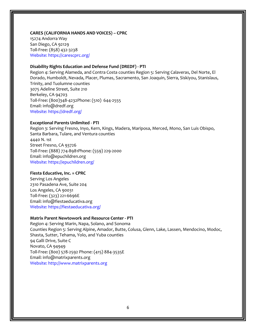#### **CARES (CALIFORNIA HANDS AND VOICES) – CPRC**

15274 Andorra Way San Diego, CA 92129 Toll-Free: (858) 432-3238 Website: https://carescprc.org/

#### **Disability Rights Education and Defense Fund (DREDF) - PTI**

Region 4: Serving Alameda, and Contra Costa counties Region 5: Serving Calaveras, Del Norte, El Dorado, Humboldt, Nevada, Placer, Plumas, Sacramento, San Joaquin, Sierra, Siskiyou, Stanislaus, Trinity, and Tuolumne counties 3075 Adeline Street, Suite 210 Berkeley, CA 94703 Toll-Free: (800)348-4232Phone: (510) 644-2555 Email: info@dredf.org Website: https://dredf.org/

#### **Exceptional Parents Unlimited - PTI**

Region 3: Serving Fresno, Inyo, Kern, Kings, Madera, Mariposa, Merced, Mono, San Luis Obispo, Santa Barbara, Tulare, and Ventura counties 4440 N. 1st Street Fresno, CA 93726 Toll-Free: (888) 774-8981Phone: (559) 229-2000 Email: info@epuchildren.org Website: https://epuchildren.org/

#### **Fiesta Educative, Inc. = CPRC**

Serving Los Angeles 2310 Pasadena Ave, Suite 204 Los Angeles, CA 90031 Toll-Free: (323) 221-6696E Email: info@fiestaeducativa.org Website: https://fiestaeducativa.org/

#### **Matrix Parent Newtowork and Resource Center - PTI**

Region 4: Serving Marin, Napa, Solano, and Sonoma Counties Region 5: Serving Alpine, Amador, Butte, Colusa, Glenn, Lake, Lassen, Mendocino, Modoc, Shasta, Sutter, Tehama, Yolo, and Yuba counties 94 Galli Drive, Suite C Novato, CA 94949 Toll-Free: (800) 578-2592 Phone: (415) 884-3535E Email: info@matrixparents.org Website: http://www.matrixparents.org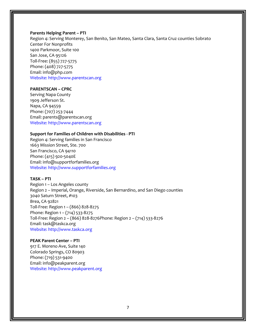#### **Parents Helping Parent – PTI**

Region 4: Serving Monterey, San Benito, San Mateo, Santa Clara, Santa Cruz counties Sobrato Center For Nonprofits 1400 Parkmoor, Suite 100 San Jose, CA 95126 Toll-Free: (855) 727-5775 Phone: (408) 727-5775 Email: info@php.com Website: http://www.parentscan.org

#### **PARENTSCAN – CPRC**

Serving Napa County 1909 Jefferson St. Napa, CA 94559 Phone: (707) 253-7444 Email: parents@parentscan.org Website: http://www.parentscan.org

#### **Support for Families of Children with Disabilities - PTI**

Region 4: Serving families in San Francisco 1663 Mission Street, Ste. 700 San Francisco, CA 94110 Phone: (415) 920-5040E Email: info@supportforfamilies.org Website: http://www.supportforfamilies.org

#### **TASK – PTI**

Region 1 – Los Angeles county Region 2 – Imperial, Orange, Riverside, San Bernardino, and San Diego counties 3040 Saturn Street, #103 Brea, CA 92821 Toll-Free: Region 1 – (866) 828-8275 Phone: Region 1 – (714) 533-8275 Toll-Free: Region 2 – (866) 828-8276Phone: Region 2 – (714) 533-8276 Email: task@taskca.org Website: http://www.taskca.org

#### **PEAK Parent Center – PTI**

917 E. Moreno Ave, Suite 140 Colorado Springs, CO 80903 Phone: (719) 531-9400 Email: info@peakparent.org Website: http://www.peakparent.org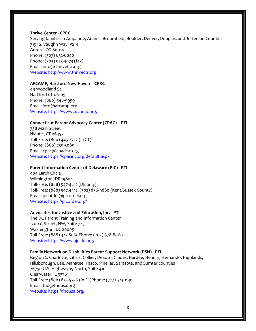#### **Thrive Center - CPRC**

Serving families in Arapahoe, Adams, Broomfield, Boulder, Denver, Douglas, and Jefferson Counties 3131 S. Vaughn Way, #214 Aurora, CO 80014 Phone: (303) 632-6840 Phone: (303) 923-3973 (fax) Email: info@ThriveCtr.org Website: http://www.thrivectr.org

#### **AFCAMP, Hartford New Haven – CPRC**

49 Woodland St. Hartford CT 06105 Phone: (860) 548-9959 Email: info@afcamp.org Website: https://www.afcamp.org/

#### **Connecticut Parent Advocacy Center (CPAC) – PTI**

338 Main Street Niantic, CT 06357 Toll-Free: (800) 445-2722 (in CT) Phone: (860) 739-3089 Email: cpac@cpacinc.org Website: https://cpacinc.org/default.aspx

#### **Parent Information Center of Delaware (PIC) - PTI**

404 Larch Circle Wilmington, DE 19804 Toll-Free: (888) 547-4412 (DE only) Toll-Free: (888) 547.4412; (302) 856-9880 (Kent/Sussex County) Email: picofdel@picofdel.org Website: https://picofdel.org/

#### **Advocates for Justice and Education, Inc. - PTI**

The DC Parent Training and Information Center 1200 G Street, NW, Suite 725 Washington, DC 20005 Toll-Free: (888) 327-8060Phone: (202) 678-8060 Website: https://www.aje-dc.org/

#### **Family Network on Disabilities Parent Support Network (PSN) - PTI**

Region 2: Charlotte, Citrus, Collier, DeSoto, Glades, Hardee, Hendry, Hernando, Highlands, Hillsborough, Lee, Manatee, Pasco, Pinellas, Sarasota, and Sumter counties 26750 U.S. Highway 19 North, Suite 410 Clearwater FL 33761 Toll-Free: (800) 825-5736 (in FL)Phone: (727) 523-1130 Email: fnd@fndusa.org Website: https://fndusa.org/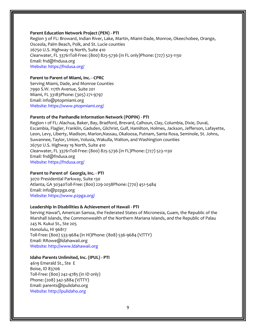#### **Parent Education Network Project (PEN) - PTI**

Region 3 of FL: Broward, Indian River, Lake, Martin, Miami-Dade, Monroe, Okeechobee, Orange, Osceola, Palm Beach, Polk, and St. Lucie counties 26750 U.S. Highway 19 North, Suite 410 Clearwater, FL 33761Toll-Free: (800) 825-5736 (in FL only)Phone: (727) 523-1130 Email: fnd@fndusa.org Website: https://fndusa.org/

#### **Parent to Parent of Miami, Inc. - CPRC**

Serving Miami, Dade, and Monroe Counties 7990 S.W. 117th Avenue, Suite 201 Miami, FL 33183Phone: (305) 271-9797 Email: info@ptopmiami.org Website: https://www.ptopmiami.org/

#### **Parents of the Panhandle Information Network (POPIN) - PTI**

Region 1 of FL: Alachua, Baker, Bay, Bradford, Brevard, Calhoun, Clay, Columbia, Dixie, Duval, Escambia, Flagler, Franklin, Gadsden, Gilchrist, Gulf, Hamilton, Holmes, Jackson, Jefferson, Lafayette, Leon, Levy, Liberty, Madison, Marion,Nassau, Okaloosa, Putnam, Santa Rosa, Seminole, St. Johns, Suwannee, Taylor, Union, Volusia, Wakulla, Walton, and Washington counties 26750 U.S. Highway 19 North, Suite 410 Clearwater, FL 33761Toll-Free: (800) 825-5736 (in FL)Phone: (727) 523-1130 Email: fnd@fndusa.org Website: https://fndusa.org/

#### **Parent to Parent of Georgia, Inc. - PTI**

3070 Presidential Parkway, Suite 130 Atlanta, GA 30340Toll-Free: (800) 229-2038Phone: (770) 451-5484 Email: info@p2pga.org Website: https://www.p2pga.org/

#### **Leadership In Disabilities & Achievement of Hawaii - PTI**

Serving Hawai'i, American Samoa, the Federated States of Micronesia, Guam, the Republic of the Marshall Islands, the Commonwealth of the Northern Mariana Islands, and the Republic of Palau 245 N. Kukui St., Ste 205 Honolulu, HI 96817 Toll-Free: (800) 533-9684 (in HI)Phone: (808) 536-9684 (V/TTY) Email: RRowe@ldahawaii.org Website: http://www.ldahawaii.org

#### **Idaho Parents Unlimited, Inc. (IPUL) - PTI**

4619 Emerald St., Ste E Boise, ID 83706 Toll-Free: (800) 242-4785 (in ID only) Phone: (208) 342-5884 (V/TTY) Email: parents@ipulidaho.org Website: http://ipulidaho.org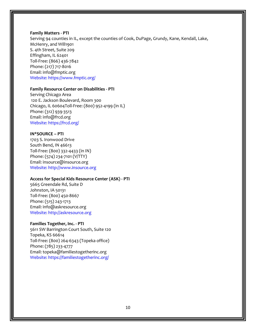#### **Family Matters - PTI**

Serving 94 counties in IL, except the counties of Cook, DuPage, Grundy, Kane, Kendall, Lake, McHenry, and Will1901 S. 4th Street, Suite 209 Effingham, IL 62401 Toll-Free: (866) 436-7842 Phone: (217) 717-8016 Email: info@fmptic.org Website: https://www.fmptic.org/

#### **Family Resource Center on Disabilities - PTI**

Serving Chicago Area 120 E. Jackson Boulevard, Room 300 Chicago, IL 60604Toll-Free: (800) 952-4199 (in IL) Phone: (312) 939-3513 Email: info@frcd.org Website: https://frcd.org/

#### **IN\*SOURCE – PTI**

1703 S. Ironwood Drive South Bend, IN 46613 Toll-Free: (800) 332-4433 (in IN) Phone: (574) 234-7101 (V/TTY) Email: insource@insource.org Website: http://www.insource.org

#### **Access for Special Kids Resource Center (ASK) - PTI**

5665 Greendale Rd, Suite D Johnston, IA 50131 Toll-Free: (800) 450-8667 Phone: (515) 243-1713 Email: info@askresource.org Website: http://askresource.org

#### **Families Together, Inc. - PTI**

5611 SW Barrington Court South, Suite 120 Topeka, KS 66614 Toll-Free: (800) 264-6343 (Topeka office) Phone: (785) 233-4777 Email: topeka@familiestogetherinc.org Website: https://familiestogetherinc.org/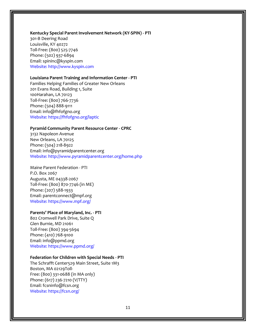#### **Kentucky Special Parent Involvement Network (KY-SPIN) - PTI**

301-B Deering Road Louisville, KY 40272 Toll-Free: (800) 525-7746 Phone: (502) 937-6894 Email: spininc@kyspin.com Website: http://www.kyspin.com

#### **Louisiana Parent Training and Information Center - PTI**

Families Helping Families of Greater New Orleans 201 Evans Road, Building 1, Suite 100Harahan, LA 70123 Toll-Free: (800) 766-7736 Phone: (504) 888-9111 Email: info@fhfofgno.org Website: https://fhfofgno.org/laptic

#### **Pyramid Community Parent Resource Center - CPRC**

3132 Napoleon Avenue New Orleans, LA 70125 Phone: (504) 218-8922 Email: info@pyramidparentcenter.org Website: http://www.pyramidparentcenter.org/home.php

Maine Parent Federation - PTI P.O. Box 2067 Augusta, ME 04338-2067 Toll-Free: (800) 870-7746 (in ME) Phone: (207) 588-1933 Email: parentconnect@mpf.org Website: https://www.mpf.org/

#### **Parents' Place of Maryland, Inc. - PTI**

802 Cromwell Park Drive, Suite Q Glen Burnie, MD 21061 Toll-Free: (800) 394-5694 Phone: (410) 768-9100 Email: info@ppmd.org Website: https://www.ppmd.org/

#### **Federation for Children with Special Needs - PTI**

The Schrafft Center529 Main Street, Suite 1M3 Boston, MA 02129Toll-Free: (800) 331-0688 (in MA only) Phone: (617) 236-7210 (V/TTY) Email: fcsninfo@fcsn.org Website: https://fcsn.org/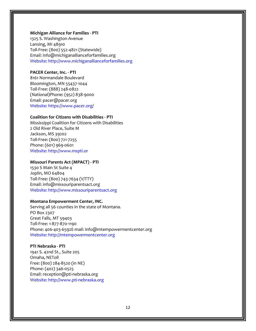#### **Michigan Alliance for Families - PTI**

1325 S. Washington Avenue Lansing, MI 48910 Toll-Free: (800) 552-4821 (Statewide) Email: info@michiganallianceforfamilies.org Website: http://www.michiganallianceforfamilies.org

#### **PACER Center, Inc. - PTI**

8161 Normandale Boulevard Bloomington, MN 55437-1044 Toll-Free: (888) 248-0822 (National)Phone: (952) 838-9000 Email: pacer@pacer.org Website: https://www.pacer.org/

#### **Coalition for Citizens with Disabilities - PTI**

Mississippi Coalition for Citizens with Disabilities 2 Old River Place, Suite M Jackson, MS 39202 Toll-Free: (800) 721-7255 Phone: (601) 969-0601 Website: http://www.mspti.or

#### **Missouri Parents Act (MPACT) - PTI**

1530 S Main St Suite 4 Joplin, MO 64804 Toll-Free: (800) 743-7634 (V/TTY) Email: info@missouriparentsact.org Website: http://www.missouriparentsact.org

#### **Montana Empowerment Center, INC.**

Serving all 56 counties in the state of Montana. PO Box 2307 Great Falls, MT 59403 Toll-Free: 1-877-870-1190 Phone: 406-403-6592E-mail: info@mtempowermentcenter.org Website: http://mtempowermentcenter.org

#### **PTI Nebraska - PTI**

1941 S. 42nd St., Suite 205 Omaha, NEToll Free: (800) 284-8520 (in NE) Phone: (402) 346-0525 Email: reception@pti-nebraska.org Website: http://www.pti-nebraska.org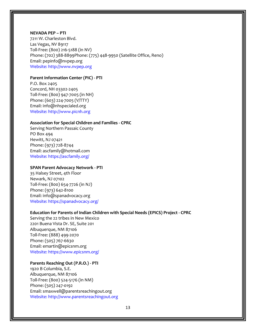#### **NEVADA PEP – PTI**

7211 W. Charleston Blvd. Las Vegas, NV 89117 Toll-Free: (800) 216-5188 (in NV) Phone: (702) 388-8899Phone: (775) 448-9950 (Satellite Office, Reno) Email: pepinfo@nvpep.org Website: http://www.nvpep.org

#### **Parent Information Center (PIC) - PTI**

P.O. Box 2405 Concord, NH 03302-2405 Toll-Free: (800) 947-7005 (in NH) Phone: (603) 224-7005 (V/TTY) Email: info@nhspecialed.org Website: http://www.picnh.org

#### **Association for Special Children and Families - CPRC**

Serving Northern Passaic County PO Box 494 Hewitt, NJ 07421 Phone: (973) 728-8744 Email: ascfamily@hotmail.com Website: https://ascfamily.org/

#### **SPAN Parent Advocacy Network - PTI**

35 Halsey Street, 4th Floor Newark, NJ 07102 Toll-Free: (800) 654-7726 (in NJ) Phone: (973) 642-8100 Email: info@spanadvocacy.org Website: https://spanadvocacy.org/

#### **Education for Parents of Indian Children with Special Needs (EPICS) Project - CPRC**

Serving the 22 tribes in New Mexico 2201 Buena Vista Dr. SE, Suite 201 Albuquerque, NM 87106 Toll-Free: (888) 499-2070 Phone: (505) 767-6630 Email: emartin@epicsnm.org Website: https://www.epicsnm.org/

#### **Parents Reaching Out (P.R.O.) - PTI**

1920 B Columbia, S.E. Albuquerque, NM 87106 Toll-Free: (800) 524-5176 (in NM) Phone: (505) 247-0192 Email: smaxwell@parentsreachingout.org Website: http://www.parentsreachingout.org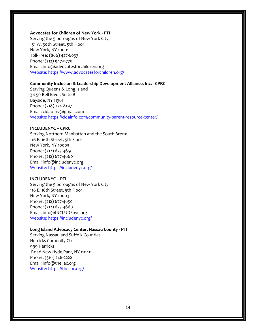#### **Advocates for Children of New York - PTI**

Serving the 5 boroughs of New York City 151 W. 30th Street, 5th Floor New York, NY 10001 Toll-Free: (866) 427-6033 Phone: (212) 947-9779 Email: info@advocatesforchildren.org Website: https://www.advocatesforchildren.org/

#### **Community Inclusion & Leadership Development Alliance, Inc. - CPRC**

Serving Queens & Long Island 38-50 Bell Blvd., Suite B Bayside, NY 11361 Phone: (718) 224-8197 Email: cidaofny@gmail.com Website: https://cidainfo.com/community-parent-resource-center/

#### **INCLUDENYC – CPRC**

Serving Northern Manhattan and the South Bronx 116 E. 16th Street, 5th Floor New York, NY 10003 Phone: (212) 677-4650 Phone: (212) 677-4660 Email: info@includenyc.org Website: https://includenyc.org/

#### **INCLUDENYC – PTI**

Serving the 5 boroughs of New York City 116 E. 16th Street, 5th Floor New York, NY 10003 Phone: (212) 677-4650 Phone: (212) 677-4660 Email: info@INCLUDEnyc.org Website: https://includenyc.org/

#### **Long Island Advocacy Center, Nassau County - PTI**

Serving Nassau and Suffolk Counties Herricks Comunity Ctr. 999 Herricks Road New Hyde Park, NY 11040 Phone: (516) 248-2222 Email: info@theliac.org Website: https://theliac.org/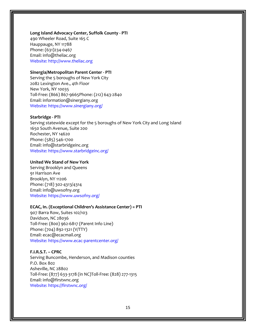#### **Long Island Advocacy Center, Suffolk County - PTI**

490 Wheeler Road, Suite 165 C Hauppauge, NY 11788 Phone: (631)234-0467 Email: info@theliac.org Website: http://www.theliac.org

#### **Sinergia/Metropolitan Parent Center - PTI**

Serving the 5 boroughs of New York City 2082 Lexington Ave., 4th Floor New York, NY 10035 Toll-Free: (866) 867-9665Phone: (212) 643-2840 Email: information@sinergiany.org Website: https://www.sinergiany.org/

#### **Starbridge - PTI**

Serving statewide except for the 5 boroughs of New York City and Long Island 1650 South Avenue, Suite 200 Rochester, NY 14620 Phone: (585) 546-1700 Email: info@starbridgeinc.org Website: https://www.starbridgeinc.org/

#### **United We Stand of New York**

Serving Brooklyn and Queens 91 Harrison Ave Brooklyn, NY 11206 Phone: (718) 302-4313/4314 Email: info@uwsofny.org Website: https://www.uwsofny.org/

#### **ECAC, In. (Exceptional Children's Assistance Center) = PTI**

907 Barra Row, Suites 102/103 Davidson, NC 28036 Toll-Free: (800) 962-6817 (Parent Info Line) Phone: (704) 892-1321 (V/TTY) Email: ecac@ecacmail.org Website: https://www.ecac-parentcenter.org/

#### **F.I.R.S.T. – CPRC**

Serving Buncombe, Henderson, and Madison counties P.O. Box 802 Asheville, NC 28802 Toll-Free: (877) 633-3178 (in NC)Toll-Free: (828) 277-1315 Email: info@firstwnc.org Website: https://firstwnc.org/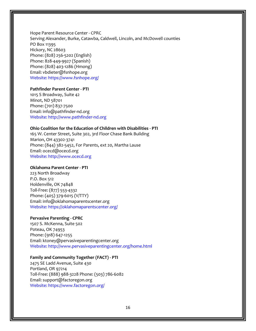Hope Parent Resource Center - CPRC Serving Alexander, Burke, Catawba, Caldwell, Lincoln, and McDowell counties PO Box 11395 Hickory, NC 28603 Phone: (828) 256-5202 (English) Phone: 828-449-9927 (Spanish) Phone: (828) 403-1286 (Hmong) Email: vbdieter@fsnhope.org Website: https://www.fsnhope.org/

#### **Pathfinder Parent Center - PTI**

1015 S Broadway, Suite 42 Minot, ND 58701 Phone: (701) 837-7500 Email: info@pathfinder-nd.org Website: http://www.pathfinder-nd.org

#### **Ohio Coalition for the Education of Children with Disabilities - PTI**

165 W. Center Street, Suite 302, 3rd Floor Chase Bank Building Marion, OH 43302-3741 Phone: (844) 382-5452, For Parents, ext 20, Martha Lause Email: ocecd@ocecd.org Website: http://www.ocecd.org

#### **Oklahoma Parent Center - PTI**

223 North Broadway P.O. Box 512 Holdenville, OK 74848 Toll-Free: (877) 553-4332 Phone: (405) 379-6015 (V/TTY) Email: info@oklahomaparentscenter.org Website: https://oklahomaparentscenter.org/

#### **Pervasive Parenting - CPRC**

1507 S. McKenna, Suite 502 Poteau, OK 74953 Phone: (918) 647-1255 Email: ktoney@pervasiveparentingcenter.org Website: http://www.pervasiveparentingcenter.org/home.html

#### **Family and Community Together (FACT) - PTI**

2475 SE Ladd Avenue, Suite 430 Portland, OR 97214 Toll-Free: (888) 988-3228 Phone: (503) 786-6082 Email: support@factoregon.org Website: https://www.factoregon.org/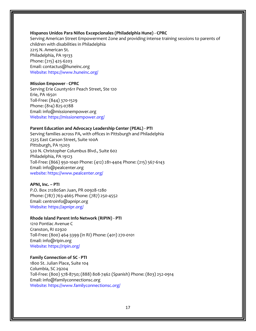#### **Hispanos Unidos Para Niños Excepcionales (Philadelphia Hune) - CPRC**

Serving American Street Empowerment Zone and providing intense training sessions to parents of children with disabilities in Philadelphia 2215 N. American St. Philadelphia, PA 19133 Phone: (215) 425-6203 Email: contactus@huneinc.org Website: https://www.huneinc.org/

#### **Mission Empower - CPRC**

Serving Erie County1611 Peach Street, Ste 120 Erie, PA 16501 Toll-Free: (844) 370-1529 Phone: (814) 825-0788 Email: info@missionempower.org Website: https://missionempower.org/

#### **Parent Education and Advocacy Leadership Center (PEAL) - PTI**

Serving families across PA, with offices in Pittsburgh and Philadelphia 2325 East Carson Street, Suite 100A Pittsburgh, PA 15203 520 N. Christopher Columbus Blvd., Suite 602 Philadelphia, PA 19123 Toll-Free: (866) 950-1040 Phone: (412) 281-4404 Phone: (215) 567-6143 Email: info@pealcenter.org website: https://www.pealcenter.org/

#### **APNI, Inc. – PTI**

P.O. Box 21280San Juan, PR 00928-1280 Phone: (787) 763-4665 Phone: (787) 250-4552 Email: centroinfo@apnipr.org Website: https://apnipr.org/

#### **Rhode Island Parent Info Network (RIPIN) - PTI**

1210 Pontiac Avenue C Cranston, RI 02920 Toll-Free: (800) 464-3399 (in RI) Phone: (401) 270-0101 Email: info@ripin.org Website: https://ripin.org/

#### **Family Connection of SC - PTI**

1800 St. Julian Place, Suite 104 Columbia, SC 29204 Toll-Free: (800) 578-8750; (888) 808-7462 (Spanish) Phone: (803) 252-0914 Email: info@familyconnectionsc.org Website: https://www.familyconnectionsc.org/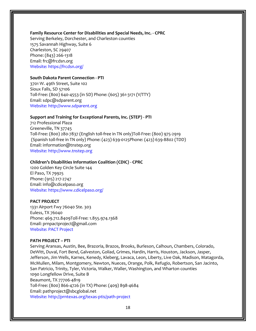#### **Family Resource Center for Disabilities and Special Needs, Inc. - CPRC**

Serving Berkeley, Dorchester, and Charleston counties 1575 Savannah Highway, Suite 6 Charleston, SC 29407 Phone: (843) 266-1318 Email: frc@frcdsn.org Website: https://frcdsn.org/

#### **South Dakota Parent Connection - PTI**

3701 W. 49th Street, Suite 102 Sioux Falls, SD 57106 Toll-Free: (800) 640-4553 (in SD) Phone: (605) 361-3171 (V/TTY) Email: sdpc@sdparent.org Website: http://www.sdparent.org

#### **Support and Training for Exceptional Parents, Inc. (STEP) - PTI**

712 Professional Plaza Greeneville, TN 37745 Toll-Free: (800) 280-7837 (English toll-free in TN only)Toll-Free: (800) 975-2919 (Spanish toll-free in TN only) Phone: (423) 639-0125Phone: (423) 639-8802 (TDD) Email: information@tnstep.org Website: http://www.tnstep.org

#### **Children's Disabilities Information Coalition (CDIC) - CPRC**

1200 Golden Key Circle Suite 144 El Paso, TX 79925 Phone: (915) 217-2747 Email: info@cdicelpaso.org Website: https://www.cdicelpaso.org/

#### **PACT PROJECT**

1331 Airport Fwy 76040 Ste. 303 Euless, TX 76040 Phone: 469.712.8409Toll-Free: 1.855.974.1368 Email: prnpactproject@gmail.com Website: PACT Project

#### **PATH PROJECT – PTI**

Serving Aransas, Austin, Bee, Brazoria, Brazos, Brooks, Burleson, Calhoun, Chambers, Colorado, DeWitt, Duval, Fort Bend, Galveston, Goliad, Grimes, Hardin, Harris, Houston, Jackson, Jasper, Jefferson, Jim Wells, Karnes, Kenedy, Kleberg, Lavaca, Leon, Liberty, Live Oak, Madison, Matagorda, McMullen, Milam, Montgomery, Newton, Nueces, Orange, Polk, Refugio, Robertson, San Jacinto, San Patricio, Trinity, Tyler, Victoria, Walker, Waller, Washington, and Wharton counties 1090 Longfellow Drive, Suite B Beaumont, TX 77706-4819 Toll-Free: (800) 866-4726 (in TX) Phone: (409) 898-4684 Email: pathproject@sbcglobal.net Website: http://prntexas.org/texas-ptis/path-project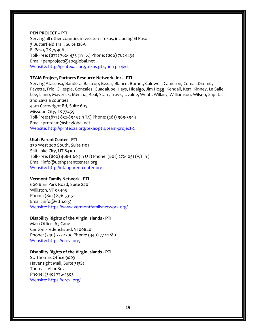#### **PEN PROJECT – PTI**

Serving all other counties in western Texas, including El Paso 3 Butterfield Trail, Suite 128A El Paso, TX 79906 Toll-Free: (877) 762-1435 (in TX) Phone: (806) 762-1434 Email: penproject@sbcglobal.net Website: http://prntexas.org/texas-ptis/pen-project

#### **TEAM Project, Partners Resource Network, Inc. - PTI**

Serving Atascosa, Bandera, Bastrop, Bexar, Blanco, Burnet, Caldwell, Cameron, Comal, Dimmit, Fayette, Frio, Gillespie, Gonzales, Guadalupe, Hays, Hidalgo, Jim Hogg, Kendall, Kerr, Kinney, La Salle, Lee, Llano, Maverick, Medina, Real, Starr, Travis, Uvalde, Webb, Willacy, Williamson, Wilson, Zapata, and Zavala counties 4501 Cartwright Rd, Suite 605 Missouri City, TX 77459 Toll-Free: (877) 832-8945 (in TX) Phone: (281) 969-5944 Email: prnteam@sbcglobal.net Website: http://prntexas.org/texas-ptis/team-project-2

**Utah Parent Center - PTI**

230 West 200 South, Suite 1101 Salt Lake City, UT 84101 Toll-Free: (800) 468-1160 (in UT) Phone: (801) 272-1051 (V/TTY) Email: info@utahparentcenter.org Website: http://utahparentcenter.org

#### **Vermont Family Network - PTI**

600 Blair Park Road, Suite 240 Williston, VT 05495 Phone: (802) 876-5315 Email: info@vtfn.org Website: https://www.vermontfamilynetwork.org/

#### **Disability Rights of the Virgin Islands - PTI**

Main Office, 63 Cane Carlton Fredericksted, VI 00840 Phone: (340) 772-1200 Phone: (340) 772-1280 Website: https://drcvi.org/

#### **Disability Rights of the Virgin Islands - PTI**

St. Thomas Office 9003 Havensight Mall, Suite 313St Thomas, VI 00802 Phone: (340) 776-4303 Website: https://drcvi.org/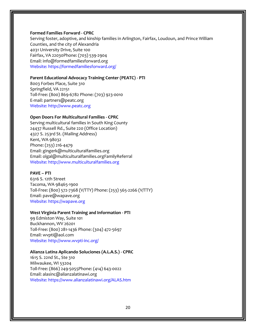#### **Formed Families Forward - CPRC**

Serving foster, adoptive, and kinship families in Arlington, Fairfax, Loudoun, and Prince William Counties, and the city of Alexandria 4031 University Drive, Suite 100 Fairfax, VA 22030Phone: (703) 539-2904 Email: info@formedfamiliesforward.org Website: https://formedfamiliesforward.org/

#### **Parent Educational Advocacy Training Center (PEATC) - PTI**

8003 Forbes Place, Suite 310 Springfield, VA 22151 Toll-Free: (800) 869-6782 Phone: (703) 923-0010 E-mail: partners@peatc.org Website: http://www.peatc.org

#### **Open Doors For Multicultural Families - CPRC**

Serving multicultural families in South King County 24437 Russell Rd., Suite 220 (Office Location) 4327 S. 253rd St. (Mailing Address) Kent, WA 98032 Phone: (253) 216-4479 Email: gingerk@multiculturalfamilies.org Email: olgal@multiculturalfamilies.orgFamilyReferral Website: http://www.multiculturalfamilies.org

#### **PAVE – PTI**

6316 S. 12th Street Tacoma, WA 98465-1900 Toll-Free: (800) 572-7368 (V/TTY) Phone: (253) 565-2266 (V/TTY) Email: pave@wapave.org Website: https://wapave.org

#### **West Virginia Parent Training and Information - PTI**

99 Edmiston Way, Suite 101 Buckhannon, WV 26201 Toll-Free: (800) 281-1436 Phone: (304) 472-5697 Email: wvpti@aol.com Website: http://www.wvpti-inc.org/

#### **Alianza Latina Aplicando Soluciones (A.L.A.S.) - CPRC**

1615 S. 22nd St., Ste 310 Milwaukee, WI 53204 Toll-Free: (866) 249-5055Phone: (414) 643-0022 Email: alasinc@alianzalatinawi.org Website: https://www.alianzalatinawi.org/ALAS.htm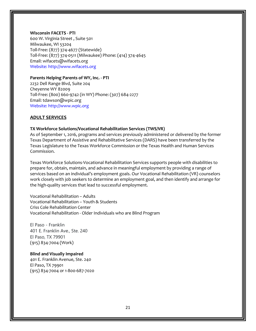#### **Wisconsin FACETS - PTI**

600 W. Virginia Street , Suite 501 Milwaukee, WI 53204 Toll-Free: (877) 374-4677 (Statewide) Toll-Free: (877) 374-0511 (Milwaukee) Phone: (414) 374-4645 Email: wifacets@wifacets.org Website: http://www.wifacets.org

#### **Parents Helping Parents of WY, Inc. - PTI**

2232 Dell Range Blvd, Suite 204 Cheyenne WY 82009 Toll-Free: (800) 660-9742 (in WY) Phone: (307) 684-2277 Email: tdawson@wpic.org Website: http://www.wpic.org

#### **ADULT SERVICES**

#### **TX Workforce Solutions/Vocational Rehabilitation Services (TWS/VR)**

As of September 1, 2016, programs and services previously administered or delivered by the former Texas Department of Assistive and Rehabilitative Services (DARS) have been transferred by the Texas Legislature to the Texas Workforce Commission or the Texas Health and Human Services Commission.

Texas Workforce Solutions-Vocational Rehabilitation Services supports people with disabilities to prepare for, obtain, maintain, and advance in meaningful employment by providing a range of services based on an individual's employment goals. Our Vocational Rehabilitation (VR) counselors work closely with job seekers to determine an employment goal, and then identify and arrange for the high-quality services that lead to successful employment.

Vocational Rehabilitation – Adults Vocational Rehabilitation – Youth & Students Criss Cole Rehabilitation Center Vocational Rehabilitation - Older Individuals who are Blind Program

El Paso - Franklin 401 E. Franklin Ave., Ste. 240 El Paso, TX 79901 (915) 834-7004 (Work)

## **Blind and Visually Impaired**

401 E. Franklin Avenue, Ste. 240 El Paso, TX 79901 (915) 834-7004 or 1-800-687-7020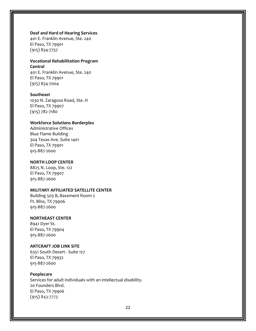#### **Deaf and Hard of Hearing Services**

401 E. Franklin Avenue, Ste. 240 El Paso, TX 79901 (915) 834-7757

# **Vocational Rehabilitation Program Central**

401 E. Franklin Avenue, Ste. 240 El Paso, TX 79901 (915) 834-7004

#### **Southeast**

1030 N. Zaragosa Road, Ste. H El Paso, TX 79907 (915) 782-7180

#### **Workforce Solutions Borderplex**

Administrative Offices Blue Flame Building 304 Texas Ave. Suite 1401 El Paso, TX 79901 915-887-2600

#### **NORTH LOOP CENTER**

8825 N. Loop, Ste. 122 El Paso, TX 79907 915-887-2600

#### **MILITARY AFFILIATED SATELLITE CENTER**

Building 503 B, Basement Room 2 Ft. Bliss, TX 79906 915-887-2600

#### **NORTHEAST CENTER**

8941 Dyer St. El Paso, TX 79904 915-887-2600

#### **ARTCRAFT JOB LINK SITE**

6351 South Desert - Suite 127 El Paso, TX 79932 915-887-2600

#### **Peoplecare**

Services for adult individuals with an intellectual disability. 20 Founders Blvd. El Paso, TX 79906 (915) 843-7773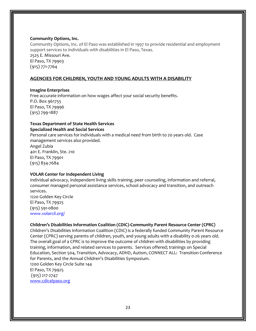#### **Community Options, Inc.**

Community Options, Inc. of El Paso was established in 1997 to provide residential and employment support services to individuals with disabilities in El Paso, Texas. 2525 E. Missouri Ave. El Paso, TX 79903 (915) 771-7764

#### **AGENCIES FOR CHILDREN, YOUTH AND YOUNG ADULTS WITH A DISABILITY**

#### **Imagine Enterprises**

Free accurate information on how wages affect your social security benefits. P.O. Box 961755 El Paso, TX 79996 (915) 799-1887

#### **Texas Department of State Health Services Specialized Health and Social Services**

Personal care services for individuals with a medical need from birth to 20 years old. Case management services also provided. Angel Zubia 401 E. Franklin, Ste. 210 El Paso, TX 79901 (915) 834-7684

#### **VOLAR Center for Independent Living**

Individual advocacy, independent living skills training, peer counseling, information and referral, consumer managed personal assistance services, school advocacy and transition, and outreach services.

1220 Golden Key Circle El Paso, TX 79925 (915) 591-0800 www.volarcil.org/

#### **Children's Disabilities Information Coalition (CDIC)-Community Parent Resource Center (CPRC)**

Children's Disabilities Information Coalition (CDIC) is a federally funded Community Parent Resource Center (CPRC) serving parents of children, youth, and young adults with a disability 0-26 years old. The overall goal of a CPRC is to improve the outcome of children with disabilities by providing training, information, and related services to parents. Services offered; trainings on Special Education, Section 504, Transition, Advocacy, ADHD, Autism, CONNECT ALL: Transition Conference for Parents, and the Annual Children's Disabilities Symposium. 1200 Golden Key Circle Suite 144 El Paso, TX 79925

(915) 217-2747 [www.cdicelpaso.org](http://www.cdicelpaso.org/)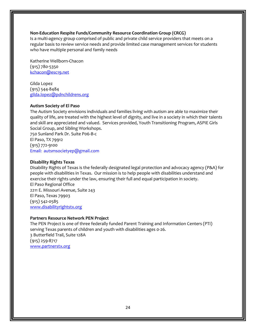#### **Non-Education Respite Funds/Community Resource Coordination Group (CRCG)**

Is a multi-agency group comprised of public and private child service providers that meets on a regular basis to review service needs and provide limited case management services for students who have multiple personal and family needs

Katherine Wellborn-Chacon (915) 780-5350 [kchacon@esc19.net](mailto:kchacon@esc19.net)

Gilda Lopez (915) 544-8484 [gilda.lopez@pdnchildrens.org](mailto:gilda.lopez@pdnchildrens.org)

#### **Autism Society of El Paso**

The Autism Society envisions individuals and families living with autism are able to maximize their quality of life, are treated with the highest level of dignity, and live in a society in which their talents and skill are appreciated and valued. Services provided, Youth Transitioning Program, ASPIE Girls Social Group, and Sibling Workshops.

750 Sunland Park Dr. Suite P06-B-c El Paso, TX 79912 (915) 772-9100 Email: autsmsocietyep@gmail.com

#### **Disability Rights Texas**

Disability Rights of Texas is the federally designated legal protection and advocacy agency (P&A) for people with disabilities in Texas. Our mission is to help people with disabilities understand and exercise their rights under the law, ensuring their full and equal participation in society. El Paso Regional Office 2211 E. Missouri Avenue, Suite 243 El Paso, Texas 79903 (915) 542-0585 [www.disabilityrightstx.org](http://www.disabilityrightstx.org/)

#### **Partners Resource Network PEN Project**

The PEN Project is one of three federally funded Parent Training and Information Centers (PTI) serving Texas parents of children and youth with disabilities ages 0-26. 3 Butterfield Trail, Suite 128A (915) 259-8717 [www.partnerstx.org](http://www.partnerstx.org/)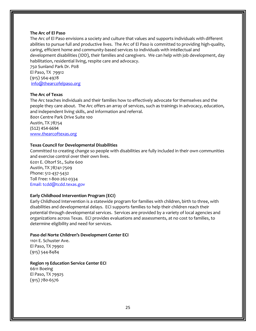#### **The Arc of El Paso**

The Arc of El Paso envisions a society and culture that values and supports individuals with different abilities to pursue full and productive lives. The Arc of El Paso is committed to providing high-quality, caring, efficient home and community-based services to individuals with intellectual and development disabilities (IDD), their families and caregivers. We can help with job development, day habilitation, residential living, respite care and advocacy.

750 Sunland Park Dr. P08 El Paso, TX 79912 (915) 564-4978 [info@thearcofelpaso.org](mailto:info@thearcofelpaso.org)

#### **The Arc of Texas**

The Arc teaches individuals and their families how to effectively advocate for themselves and the people they care about. The Arc offers an array of services, such as trainings in advocacy, education, and independent living skills, and information and referral.

8001 Centre Park Drive Suite 100 Austin, TX 78754 (512) 454-6694 [www.thearcoftexas.org](http://www.thearcoftexas.org/)

#### **Texas Council for Developmental Disabilities**

Committed to creating change so people with disabilities are fully included in their own communities and exercise control over their own lives.

6201 E. Oltorf St., Suite 600 Austin, TX 78741-7509 Phone: 512-437-5432 Toll Free: 1-800-262-0334 Email: tcdd@tcdd.texas.gov

#### **Early Childhood Intervention Program (ECI)**

Early Childhood Intervention is a statewide program for families with children, birth to three, with disabilities and developmental delays. ECI supports families to help their children reach their potential through developmental services. Services are provided by a variety of local agencies and organizations across Texas. ECI provides evaluations and assessments, at no cost to families, to determine eligibility and need for services.

#### **Paso del Norte Children's Development Center ECI**

1101 E. Schuster Ave. El Paso, TX 79902 (915) 544-8484

#### **Region 19 Education Service Center ECI**

6611 Boeing El Paso, TX 79925 (915) 780-6576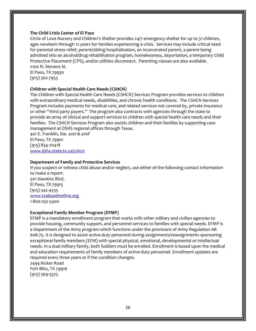#### **The Child Crisis Center of El Paso**

Circle of Love Nursery and Children's Shelter provides 24/7 emergency shelter for up to 31 children, ages newborn through 12 years for families experiencing a crisis. Services may include critical need for parental stress relief, parent/sibling hospitalization, an incarcerated parent, a parent being admitted into an alcohol/drug rehabilitation program, homelessness, deportation, a temporary Child Protective Placement (CPS), and/or utilities disconnect. Parenting classes are also available. 2100 N. Stevens St.

El Paso, TX 79930 (915) 562-7955

#### **Children with Special Health Care Needs (CSHCN)**

The Children with Special Health Care Needs (CSHCN) Services Program provides services to children with extraordinary medical needs, disabilities, and chronic health conditions. The CSHCN Services Program includes payments for medical care, and related services not covered by, private insurance or other "third party payers." The program also contracts with agencies through the state to provide an array of clinical and support services to children with special health care needs and their families. The CSHCN Services Program also assists children and their families by supporting case management at DSHS regional offices through Texas.

401 E. Franklin, Ste. 410I & 410F El Paso, TX 79901 (915) 834-70418 [www.dshs.state.tx.us/cshcn](http://www.dshs.state.tx.us/cshcn)

#### **Department of Family and Protective Services**

If you suspect or witness child abuse and/or neglect, use either of the following contact information to make a report. 501 Hawkins Blvd. El Paso, TX 79915 (915) 542-4535 [www.txabusehotline.org](http://www.txabusehotline.org/) 1-800-252-5400

# **Exceptional Family Member Program (EFMP)**

EFMP is a mandatory enrollment program that works with other military and civilian agencies to provide housing, community support, and personnel services to families with special needs. EFMP is a Department of the Army program which functions under the provisions of Army Regulation AR 608-75. It is designed to assist active-duty personnel during assignments/reassignments sponsoring exceptional family members (EFM) with special physical, emotional, developmental or intellectual needs. In a dual military family, both Soldiers must be enrolled. Enrollment is based upon the medical and education requirements of family members of active-duty personnel. Enrollment updates are required every three years or if the condition changes.

2494 Ricker Road Fort Bliss, TX 79916 (915) 569-5375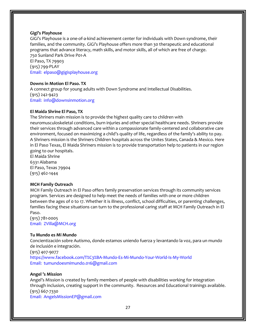#### **Gigi's Playhouse**

GiGi's Playhouse is a one-of-a-kind achievement center for individuals with Down syndrome, their families, and the community. GiGi's Playhouse offers more than 30 therapeutic and educational programs that advance literacy, math skills, and motor skills, all of which are free of charge. 750 Sunland Park Drive P01-A El Paso, TX 79903

(915) 799-PLAY Email: elpaso@gigisplayhouse.org

#### **Downs in Motion El Paso. TX**

A connect group for young adults with Down Syndrome and Intellectual Disabilities. (915) 242-9423 Email: info@downsinmotion.org

#### **El Maida Shrine El Paso, TX**

The Shriners main mission is to provide the highest quality care to children with neuromusculoskeletal conditions, burn injuries and other special healthcare needs. Shriners provide their services through advanced care within a compassionate family-centered and collaborative care environment, focused on maximizing a child's quality of life, regardless of the family's ability to pay. A Shriners mission is the Shriners Children hospitals across the Unites States, Canada & Mexico. Here in El Paso Texas, El Maida Shriners mission is to provide transportation help to patients in our region going to our hospitals.

El Maida Shrine 6331 Alabama El Paso, Texas 79904 (915) 462-1444

#### **MCH Family Outreach**

MCH Family Outreach in El Paso offers family preservation services through its community services program. Services are designed to help meet the needs of families with one or more children between the ages of 0 to 17. Whether it is illness, conflict, school difficulties, or parenting challenges, families facing these situations can turn to the professional caring staff at MCH Family Outreach in El Paso.

(915) 781-0005 Email: ZVilla@MCH.org

#### **Tu Mundo es Mi Mundo**

Concientización sobre Autismo, donde estamos uniendo fuerza y levantando la voz, para un mundo de inclusión e integración. (915) 407-9077 https://www.facebook.com/T%C3%BA-Mundo-Es-Mi-Mundo-Your-World-Is-My-World Email: tumundoesmimundo.016@gmail.com

#### **Angel 's Mission**

Angel's Mission is created by family members of people with disabilities working for integration through inclusion, creating support in the community. Resources and Educational trainings available. (915) 667-7330 Email: AngelsMissionEP@gmail.com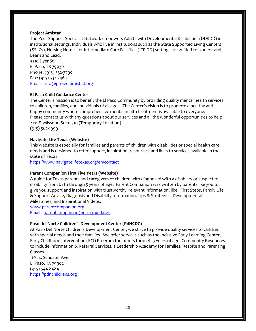#### **Project Amistad**

The Peer Support Specialist Network empowers Adults with Developmental Disabilities (DD/IDD) in institutional settings. Individuals who live in institutions such as the State Supported Living Centers (SSLCs), Nursing Homes, or Intermediate Care Facilities (ICF-DD) settings are guided to Understand, Learn and Lead.

3210 Dyer St. El Paso, TX 79930 Phone: (915) 532-3790 Fax: (915) 532-7463 Email: info@projectamistad.org

#### **El Paso Child Guidance Center**

The Center's mission is to benefit the El Paso Community by providing quality mental health services to children, families, and individuals of all ages. The Center's vision is to promote a healthy and happy community where comprehensive mental health treatment is available to everyone. Please contact us with any questions about our services and all the wonderful opportunities to help... 2211 E. Missouri Suite 310 (Temporary Location) (915) 562-1999

#### **Navigate Life Texas (Website)**

This website is especially for families and parents of children with disabilities or special health care needs and is designed to offer support, inspiration, resources, and links to services available in the state of Texas

https://www.navigatelifetexas.org/en/contact

#### **Parent Companion First Five Years (Website)**

A guide for Texas parents and caregivers of children with diagnosed with a disability or suspected disability from birth through 5 years of age. Parent Companion was written by parents like you to give you support and inspiration with trustworthy, relevant information, like: First Steps, Family Life & Support Advice, Diagnosis and Disability Information, Tips & Strategies, Developmental Milestones, and Inspirational Videos.

[www.parentcompanion.org](http://www.parentcompanion.org/) Email: [parentcompanion@esc13txed.net](mailto:parentcompanion@esc13txed.net)

#### **Paso del Norte Children's Development Center (PdNCDC)**

At Paso Del Norte Children's Development Center, we strive to provide quality services to children with special needs and their families. We offer services such as the Inclusive Early Learning Center, Early Childhood Intervention (ECI) Program for infants through 3 years of age, Community Resources to include Information & Referral Services, a Leadership Academy for Families, Respite and Parenting Classes.

1101 E. Schuster Ave. El Paso, TX 79902 (915) 544-8484 [https://pdnchildrens.org](https://pdnchildrens.org/)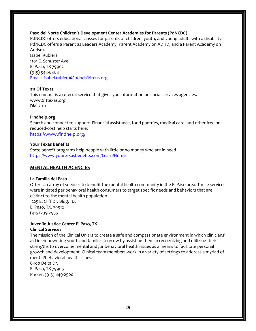#### **Paso del Norte Children's Development Center Academies for Parents (PdNCDC)**

PdNCDC offers educational classes for parents of children, youth, and young adults with a disability. PdNCDC offers a Parent as Leaders Academy, Parent Academy on ADHD, and a Parent Academy on Autism.

Isabel Rubiera 1101 E. Schuster Ave. El Paso, TX 79902 (915) 544-8484 Email: isabel.rubiera@pdnchildrens.org

#### **211 Of Texas**

This number is a referral service that gives you information on social services agencies. [www.211texas.org](http://www.211texas.org/) Dial 2-1-1

#### **Findhelp.org**

Search and connect to support. Financial assistance, food pantries, medical care, and other free or reduced-cost help starts here:

https://www.findhelp.org/

#### **Your Texas Benefits**

State benefit programs help people with little or no money who are in need https://www.yourtexasbenefits.com/Learn/Home

#### **MENTAL HEALTH AGENCIES**

#### **La Familia del Paso**

Offers an array of services to benefit the mental health community in the El Paso area. These services were initiated per behavioral health consumers to target specific needs and behaviors that are distinct to the mental health population.

1225 E. Cliff Dr. Bldg. 1D. El Paso, TX. 79912 (915) 239-2955

#### **Juvenile Justice Center El Paso, TX Clinical Services**

The mission of the Clinical Unit is to create a safe and compassionate environment in which clinicians' aid in empowering youth and families to grow by assisting them in recognizing and utilizing their strengths to overcome mental and /or behavioral health issues as a means to facilitate personal growth and development. Clinical team members work in a variety of settings to address a myriad of mental/behavioral health issues.

6400 Delta Dr. El Paso, TX 79905 Phone: (915) 849-2500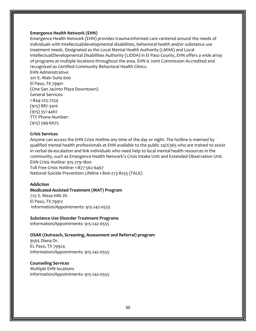#### **Emergence Health Network (EHN)**

Emergence Health Network (EHN) provides trauma-informed care centered around the needs of individuals with intellectual/developmental disabilities, behavioral health and/or substance use treatment needs. Designated as the Local Mental Health Authority (LMHA) and Local Intellectual/Developmental Disabilities Authority (LIDDA) in El Paso County, EHN offers a wide array of programs at multiple locations throughout the area. EHN is Joint Commission Accredited and recognized as Certified Community Behavioral Health Clinics.

EHN Administrative: 201 E. Main Suite 600 El Paso, TX 79901 (One San Jacinto Plaza Downtown) General Services: 1-844-225-7254 (915) 887-3410 (915) 351-4467 TTY Phone Number: (915) 599-6675

#### **Crisis Services**

Anyone can access the EHN Crisis Hotline any time of the day or night. The hotline is manned by qualified mental health professionals at EHN available to the public 24/7/365 who are trained to assist in verbal de-escalation and link individuals who need help to local mental health resources in the community, such as Emergence Health Network's Crisis Intake Unit and Extended Observation Unit. EHN Crisis Hotline: 915-779-1800 Toll Free Crisis Hotline: 1-877-562-6467 National Suicide Prevention Lifeline 1-800-273-8255 (TALK)

#### **Addiction**

#### **Medicated-Assisted Treatment (MAT) Program**

725 S. Mesa Hills Dr. El Paso, TX 79912 Information/Appointments: 915-242-0555

#### **Substance Use Disorder Treatment Programs**

Information/Appointments: 915-242-0555

#### **OSAR (Outreach, Screening, Assessment and Referral) program**

9565 Diana Dr. EL Paso, TX 79924 Information/Appointments: 915-242-0555

#### **Counseling Services**

Multiple EHN locations Information/Appointments: 915-242-0555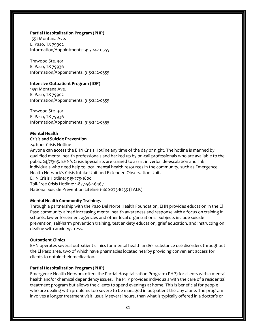#### **Partial Hospitalization Program (PHP)**

1551 Montana Ave. El Paso, TX 79902 Information/Appointments: 915-242-0555

Trawood Ste. 301 El Paso, TX 79936 Information/Appointments: 915-242-0555

#### **Intensive Outpatient Program (IOP)**

1551 Montana Ave. El Paso, TX 79902 Information/Appointments: 915-242-0555

Trawood Ste. 301 El Paso, TX 79936 Information/Appointments: 915-242-0555

#### **Mental Health**

#### **Crisis and Suicide Prevention**

24-hour Crisis Hotline

Anyone can access the EHN Crisis Hotline any time of the day or night. The hotline is manned by qualified mental health professionals and backed up by on-call professionals who are available to the public 24/7/365. EHN's Crisis Specialists are trained to assist in verbal de-escalation and link individuals who need help to local mental health resources in the community, such as Emergence Health Network's Crisis Intake Unit and Extended Observation Unit. EHN Crisis Hotline: 915-779-1800 Toll-Free Crisis Hotline: 1-877-562-6467 National Suicide Prevention Lifeline 1-800-273-8255 (TALK)

#### **Mental Health Community Trainings**

Through a partnership with the Paso Del Norte Health Foundation, EHN provides education in the El Paso community aimed increasing mental health awareness and response with a focus on training in schools, law enforcement agencies and other local organizations. Subjects include suicide prevention, self-harm prevention training, test anxiety education, grief education, and instructing on dealing with anxiety/stress.

#### **Outpatient Clinics**

EHN operates several outpatient clinics for mental health and/or substance use disorders throughout the El Paso area, two of which have pharmacies located nearby providing convenient access for clients to obtain their medication.

#### **Partial Hospitalization Program (PHP)**

Emergence Health Network offers the Partial Hospitalization Program (PHP) for clients with a mental health and/or chemical dependency issues. The PHP provides individuals with the care of a residential treatment program but allows the clients to spend evenings at home. This is beneficial for people who are dealing with problems too severe to be managed in outpatient therapy alone. The program involves a longer treatment visit, usually several hours, than what is typically offered in a doctor's or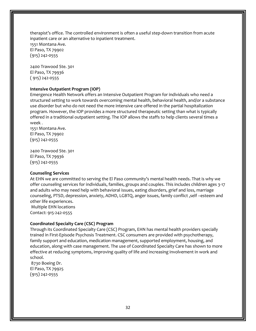therapist's office. The controlled environment is often a useful step-down transition from acute inpatient care or an alternative to inpatient treatment. 1551 Montana Ave. El Paso, TX 79902 (915) 242-0555

2400 Trawood Ste. 301 El Paso, TX 79936 ( 915) 242-0555

#### **Intensive Outpatient Program (IOP)**

Emergence Health Network offers an Intensive Outpatient Program for individuals who need a structured setting to work towards overcoming mental health, behavioral health, and/or a substance use disorder but who do not need the more intensive care offered in the partial hospitalization program. However, the IOP provides a more structured therapeutic setting than what is typically offered in a traditional outpatient setting. The IOP allows the staffs to help clients several times a week .

1551 Montana Ave. El Paso, TX 79902 (915) 242-0555

2400 Trawood Ste. 301 El Paso, TX 79936 (915) 242-0555

#### **Counseling Services**

At EHN we are committed to serving the El Paso community's mental health needs. That is why we offer counseling services for individuals, families, groups and couples. This includes children ages 3-17 and adults who may need help with behavioral issues, eating disorders, grief and loss, marriage counseling, PTSD, depression, anxiety, ADHD, LGBTQ, anger issues, family conflict ,self –esteem and other life experiences. Multiple EHN locations

Contact: 915-242-0555

#### **Coordinated Specialty Care (CSC) Program**

Through its Coordinated Specialty Care (CSC) Program, EHN has mental health providers specially trained in First-Episode Psychosis Treatment. CSC consumers are provided with psychotherapy, family support and education, medication management, supported employment, housing, and education, along with case management. The use of Coordinated Specialty Care has shown to more effective at reducing symptoms, improving quality of life and increasing involvement in work and school.

8730 Boeing Dr. El Paso, TX 79925 (915) 242-0555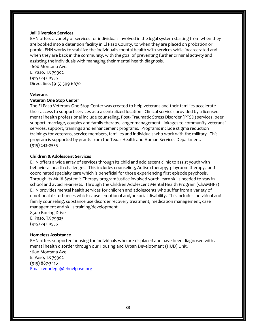#### **Jail Diversion Services**

EHN offers a variety of services for individuals involved in the legal system starting from when they are booked into a detention facility in El Paso County, to when they are placed on probation or parole. EHN works to stabilize the individual's mental health with services while incarcerated and when they are back in the community, with the goal of preventing further criminal activity and assisting the individuals with managing their mental health diagnosis.

1600 Montana Ave. El Paso, TX 79902 (915) 242-0555 Direct line: (915) 599-6670

#### **Veterans**

#### **Veteran One Stop Center**

The El Paso Veterans One Stop Center was created to help veterans and their families accelerate their access to support services at a a centralized location. Clinical services provided by a licensed mental health professional include counseling, Post- Traumatic Stress Disorder (PTSD) services, peer support, marriage, couples and family therapy, anger management, linkages to community veterans' services, support, trainings and enhancement programs. Programs include stigma reduction trainings for veterans, service members, families and individuals who work with the military. This program is supported by grants from the Texas Health and Human Services Department. (915) 242-0555

#### **Children & Adolescent Services**

EHN offers a wide array of services through its child and adolescent clinic to assist youth with behavioral health challenges. This includes counseling, Autism therapy, playroom therapy, and coordinated specialty care which is beneficial for those experiencing first episode psychosis. Through its Multi-Systemic Therapy program justice involved youth learn skills needed to stay in school and avoid re-arrests. Through the Children Adolescent Mental Health Program (ChAMHPs) EHN provides mental health services for children and adolescents who suffer from a variety of emotional disturbances which cause emotional and/or social disability. This includes individual and family counseling, substance use disorder recovery treatment, medication management, case management and skills training/development.

8500 Boeing Drive El Paso, TX 79925 (915) 242-0555

#### **Homeless Assistance**

EHN offers supported housing for individuals who are displaced and have been diagnosed with a mental health disorder through our Housing and Urban Development (HUD) Unit. 1600 Montana Ave. El Paso, TX 79902 (915) 887-3416 Email: vnoriega@ehnelpaso.org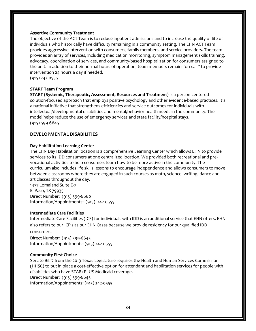#### **Assertive Community Treatment**

The objective of the ACT Team is to reduce inpatient admissions and to increase the quality of life of individuals who historically have difficulty remaining in a community setting. The EHN ACT Team provides aggressive intervention with consumers, family members, and service providers. The team provides an array of services, including medication monitoring, symptom management skills training, advocacy, coordination of services, and community-based hospitalization for consumers assigned to the unit. In addition to their normal hours of operation, team members remain "on-call" to provide intervention 24 hours a day if needed.

(915) 242-0555

#### **START Team Program**

**START (Systemic, Therapeutic, Assessment, Resources and Treatment)** is a person-centered solution-focused approach that employs positive psychology and other evidence-based practices. It's a national initiative that strengthens efficiencies and service outcomes for individuals with intellectual/developmental disabilities and mental/behavior health needs in the community. The model helps reduce the use of emergency services and state facility/hospital stays. (915) 599-6645

#### **DEVELOPMENTAL DISABILITIES**

#### **Day Habilitation Learning Center**

The EHN Day Habilitation location is a comprehensive Learning Center which allows EHN to provide services to its IDD consumers at one centralized location. We provided both recreational and prevocational activities to help consumers learn how to be more active in the community. The curriculum also includes life skills lessons to encourage independence and allows consumers to move between classrooms where they are engaged in such courses as math, science, writing, dance and art classes throughout the day.

1477 Lomaland Suite E-7 El Paso, TX 79935 Direct Number: (915) 599-6680 Information/Appointments: (915) 242-0555

#### **Intermediate Care Facilities**

Intermediate Care Facilities (ICF) for individuals with IDD is an additional service that EHN offers. EHN also refers to our ICF's as our EHN Casas because we provide residency for our qualified IDD consumers.

Direct Number: (915) 599-6645 Information/Appointments: (915) 242-0555

#### **Community First Choice**

Senate Bill 7 from the 2013 Texas Legislature requires the Health and Human Services Commission (HHSC) to put in place a cost-effective option for attendant and habilitation services for people with disabilities who have STAR+PLUS Medicaid coverage. Direct Number: (915) 599-6645 Information/Appointments: (915) 242-0555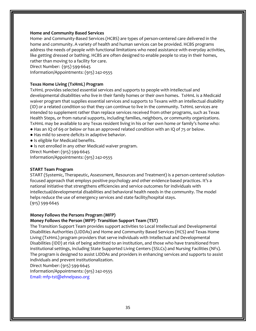#### **Home and Community Based Services**

Home- and Community-Based Services (HCBS) are types of person-centered care delivered in the home and community. A variety of health and human services can be provided. HCBS programs address the needs of people with functional limitations who need assistance with everyday activities, like getting dressed or bathing. HCBS are often designed to enable people to stay in their homes, rather than moving to a facility for care.

Direct Number: (915) 599-6645

Information/Appointments: (915) 242-0555

#### **Texas Home Living (TxHmL) Program**

TxHmL provides selected essential services and supports to people with intellectual and developmental disabilities who live in their family homes or their own homes. TxHmL is a Medicaid waiver program that supplies essential services and supports to Texans with an intellectual disability (ID) or a related condition so that they can continue to live in the community. TxHmL services are intended to supplement rather than replace services received from other programs, such as Texas Health Steps, or from natural supports, including families, neighbors, or community organizations. TxHmL may be available to any Texas resident living in his or her own home or family's home who: ● Has an IQ of 69 or below or has an approved related condition with an IQ of 75 or below.

- Has mild to severe deficits in adaptive behavior.
- Is eligible for Medicaid benefits.
- Is not enrolled in any other Medicaid waiver program.

Direct Number: (915) 599-6645

Information/Appointments: (915) 242-0555

#### **START Team Program**

START (Systemic, Therapeutic, Assessment, Resources and Treatment) is a person-centered solutionfocused approach that employs positive psychology and other evidence-based practices. It's a national initiative that strengthens efficiencies and service outcomes for individuals with intellectual/developmental disabilities and behavioral health needs in the community. The model helps reduce the use of emergency services and state facility/hospital stays. (915) 599-6645

#### **Money Follows the Persons Program (MFP)**

#### **Money Follows the Person (MFP)- Transition Support Team (TST)**

The Transition Support Team provides support activities to Local Intellectual and Developmental Disabilities Authorities (LIDDAs) and Home and Community Based Services (HCS) and Texas Home Living (TxHmL) program providers that serve individuals with Intellectual and Developmental Disabilities (IDD) at risk of being admitted to an institution, and those who have transitioned from institutional settings, including State Supported Living Centers (SSLCs) and Nursing Facilities (NFs). The program is designed to assist LIDDAs and providers in enhancing services and supports to assist individuals and prevent institutionalization.

Direct Number: (915) 599-6645

Information/Appointments: (915) 242-0555 Email: mfp-tst@ehnelpaso.org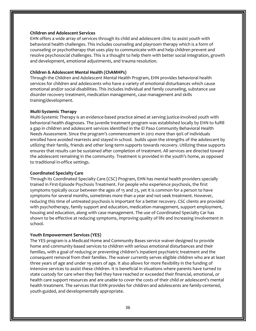#### **Children and Adolescent Services**

EHN offers a wide array of services through its child and adolescent clinic to assist youth with behavioral health challenges. This includes counseling and playroom therapy which is a form of counseling or psychotherapy that uses play to communicate with and help children prevent and resolve psychosocial challenges. This is a thought to help them with better social integration, growth and development, emotional adjustments, and trauma resolution.

#### **Children & Adolescent Mental Health (ChAMHPs)**

Through the Children and Adolescent Mental Health Program, EHN provides behavioral health services for children and adolescents who have a variety of emotional disturbances which cause emotional and/or social disabilities. This includes individual and family counseling, substance use disorder recovery treatment, medication management, case management and skills training/development.

#### **Multi-Systemic Therapy**

Multi-Systemic Therapy is an evidence-based practice aimed at serving justice-involved youth with behavioral health diagnoses. The juvenile treatment program was established locally by EHN to fulfill a gap in children and adolescent services identified in the El Paso Community Behavioral Health Needs Assessment. Since the program's commencement in 2012 more than 90% of individuals enrolled have avoided rearrests and stayed in school. builds upon the strengths of the adolescent by utilizing their family, friends and other long-term supports towards recovery. Utilizing these supports ensures that results can be sustained after completion of treatment. All services are directed toward the adolescent remaining in the community. Treatment is provided in the youth's home, as opposed to traditional in-office settings.

#### **Coordinated Specialty Care**

Through its Coordinated Specialty Care (CSC) Program, EHN has mental health providers specially trained in First-Episode Psychosis Treatment. For people who experience psychosis, the first symptoms typically occur between the ages of 15 and 25, yet it is common for a person to have symptoms for several months, sometimes more than a year and not seek treatment. However, reducing this time of untreated psychosis is important for a better recovery. CSC clients are provided with psychotherapy, family support and education, medication management, support employment, housing and education, along with case management. The use of Coordinated Specialty Car has shown to be effective at reducing symptoms, improving quality of life and increasing involvement in school.

#### **Youth Empowerment Services (YES)**

The YES program is a Medicaid Home and Community Bases service waiver designed to provide home and community-based services to children with serious emotional disturbances and their families, with a goal of reducing or preventing children's inpatient psychiatric treatment and the consequent removal from their families. The waiver currently serves eligible children who are at least three years of age and under 19 years of age. It also allows for more flexibility in the funding of intensive services to assist these children. It is beneficial in situations where parents have turned to state custody for care when they feel they have reached or exceeded their financial, emotional, or health care support resources and are unable to cover the costs of their child or adolescent's mental health treatment. The services that EHN provides for children and adolescents are family-centered, youth-guided, and developmentally appropriate.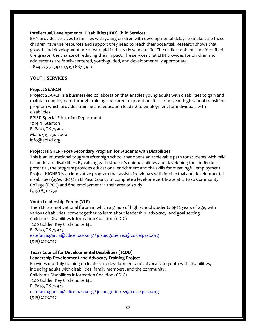#### **Intellectual/Developmental Disabilities (IDD) Child Services**

EHN provides services to families with young children with developmental delays to make sure these children have the resources and support they need to reach their potential. Research shows that growth and development are most rapid in the early years of life. The earlier problems are identified, the greater the chance of reducing their impact. The services that EHN provides for children and adolescents are family-centered, youth-guided, and developmentally appropriate. 1-844-225-7254 or (915) 887-3410

#### **YOUTH SERVICES**

#### **Project SEARCH**

Project SEARCH is a business-led collaboration that enables young adults with disabilities to gain and maintain employment through training and career exploration. It is a one-year, high school transition program which provides training and education leading to employment for individuals with disabilities.

EPISD Special Education Department 1014 N. Stanton El Paso, TX 79902 Main: 915-230-2000 info@episd.org

#### **Project HIGHER - Post-Secondary Program for Students with Disabilities**

This is an educational program after high school that opens an achievable path for students with mild to moderate disabilities. By valuing each student's unique abilities and developing their individual potential, the program provides educational enrichment and the skills for meaningful employment. Project HIGHER is an innovative program that assists individuals with intellectual and developmental disabilities (ages 18-25) in El Paso County to complete a level-one certificate at El Paso Community College (EPCC) and find employment in their area of study. (915) 831-2739

#### **Youth Leadership Forum (YLF)**

The YLF is a motivational forum in which a group of high school students 14-22 years of age, with various disabilities, come together to learn about leadership, advocacy, and goal setting. Children's Disabilities Information Coalition (CDIC) 1200 Golden Key Circle Suite 144 El Paso, TX 79925 estefania.garcia@cdicelpaso.org / josue.gutierrez@cdicelpaso.org (915) 217-2747

#### **Texas Council for Developmental Disabilities (TCDD) Leadership Development and Advocacy Training Project**

Provides monthly training on leadership development and advocacy to youth with disabilities, including adults with disabilities, family members, and the community. Children's Disabilities Information Coalition (CDIC) 1200 Golden Key Circle Suite 144 El Paso, TX 79925 estefania.garcia@cdicelpaso.org / josue.gutierrez@cdicelpaso.org (915) 217-2747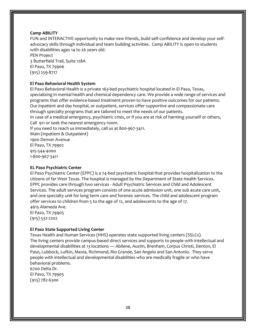#### **Camp ABILITY**

FUN and INTERACTIVE opportunity to make new friends, build self-confidence and develop your selfadvocacy skills through individual and team building activities. Camp ABILITY is open to students with disabilities ages 14 to 26 years old.

PEN Project 3 Butterfield Trail, Suite 128A El Paso, TX 79906 (915) 259-8717

#### **El Paso Behavioral Health System**

El Paso Behavioral Health is a private 163-bed psychiatric hospital located in El Paso, Texas, specializing in mental health and chemical dependency care. We provide a wide range of services and programs that offer evidence-based treatment proven to have positive outcomes for our patients. Our inpatient and day hospital, or outpatient, services offer supportive and compassionate care through specialty programs that are tailored to meet the needs of our patients.

In case of a medical emergency, psychiatric crisis, or if you are at risk of harming yourself or others, Call 911 or seek the nearest emergency room.

If you need to reach us immediately, call us at 800-967-3411.

Main (Inpatient & Outpatient) 1900 Denver Avenue El Paso, TX 79902 915-544-4000 1-800-967-3411

#### **EL Paso Psychiatric Center**

El Paso Psychiatric Center (EPPC) is a 74-bed psychiatric hospital that provides hospitalization to the citizens of far West Texas. The hospital is managed by the Department of State Health Services. EPPC provides care through two services - Adult Psychiatric Services and Child and Adolescent Services. The adult services program consists of one acute admission unit, one sub acute care unit, and one specialty unit for long term care and forensic services. The child and adolescent program offer services to children from 5 to the age of 12, and adolescents to the age of 17. 4615 Alameda Ave.

El Paso, TX 79905 (915) 532-2202

#### **El Paso State Supported Living Center**

Texas Health and Human Services (HHS) operates state supported living centers (SSLCs). The living centers provide campus-based direct services and supports to people with intellectual and developmental disabilities at 13 locations — Abilene, Austin, Brenham, Corpus Christi, Denton, El Paso, Lubbock, Lufkin, Mexia, Richmond, Rio Grande, San Angelo and San Antonio. They serve people with intellectual and developmental disabilities who are medically fragile or who have behavioral problems.

6700 Delta Dr. El Paso, TX 79905 (915) 782-6300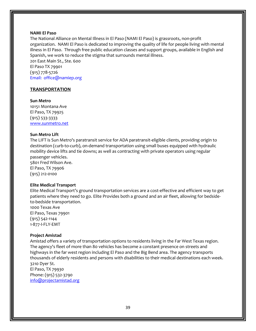#### **NAMI El Paso**

The National Alliance on Mental Illness in El Paso (NAMI El Paso) is grassroots, non-profit organization. NAMI El Paso is dedicated to improving the quality of life for people living with mental illness in El Paso. Through free public education classes and support groups, available in English and Spanish, we work to reduce the stigma that surrounds mental illness.

201 East Main St., Ste. 600 El Paso TX 79901 (915) 778-5726 Email: office@namiep.org

#### **TRANSPORTATION**

**Sun Metro**

10151 Montana Ave El Paso, TX 79925 (915) 533-3333 [www.sunmetro.net](file:///C:/Users/Sandra/Documents/A-LourdesTorres/Documentos/Resource%20Directory/www.sunmetro.net)

#### **Sun Metro Lift**

The LIFT is Sun Metro's paratransit service for ADA paratransit-eligible clients, providing origin to destination (curb-to-curb), on-demand transportation using small buses equipped with hydraulic mobility device lifts and tie downs; as well as contracting with private operators using regular passenger vehicles. 5801 Fred Wilson Ave.

El Paso, TX 79906 (915) 212-0100

#### **Elite Medical Transport**

Elite Medical Transport's ground transportation services are a cost-effective and efficient way to get patients where they need to go. Elite Provides both a ground and an air fleet, allowing for bedsideto-bedside transportation.

1000 Texas Ave El Paso, Texas 79901 (915) 542-1144 1-877-I-FLY-EMT

#### **Project Amistad**

Amistad offers a variety of transportation options to residents living in the Far West Texas region. The agency's fleet of more than 80 vehicles has become a constant presence on streets and highways in the far west region including El Paso and the Big Bend area. The agency transports thousands of elderly residents and persons with disabilities to their medical destinations each week. 3210 Dyer St. El Paso, TX 79930 Phone: (915) 532-3790

[info@projectamistad.org](file:///C:/Users/Angelica/AppData/Local/Microsoft/Windows/Temporary%20Internet%20Files/Content.Outlook/BV6E3883/info@projectamistad.org)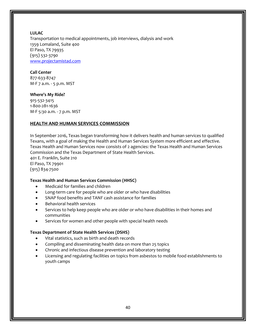#### **LULAC**

Transportation to medical appointments, job interviews, dialysis and work 1359 Lomaland, Suite 400 El Paso, TX 79935 (915) 532-3790 [www.projectamistad.com](http://www.projectamistad.com/)

#### **Call Center**

877-633-8747 M-F 7 a.m. - 5 p.m. MST

#### **Where's My Ride?**

915-532-3415 1-800-281-1636 M-F 5:30 a.m. - 7 p.m. MST

#### **HEALTH AND HUMAN SERVICES COMMISSION**

In September 2016, Texas began transforming how it delivers health and human services to qualified Texans, with a goal of making the Health and Human Services System more efficient and effective. Texas Health and Human Services now consists of 2 agencies: the Texas Health and Human Services Commission and the Texas Department of State Health Services. 401 E. Franklin, Suite 210 El Paso, TX 79901 (915) 834-7500

#### **Texas Health and Human Services Commission (HHSC)**

- Medicaid for families and children
- Long-term care for people who are older or who have disabilities
- SNAP food benefits and TANF cash assistance for families
- Behavioral health services
- Services to help keep people who are older or who have disabilities in their homes and communities
- Services for women and other people with special health needs

#### **Texas Department of State Health Services (DSHS)**

- Vital statistics, such as birth and death records
- Compiling and disseminating health data on more than 25 topics
- Chronic and infectious disease prevention and laboratory testing
- Licensing and regulating facilities on topics from asbestos to mobile food establishments to youth camps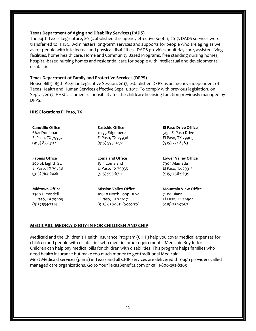#### **Texas Department of Aging and Disability Services (DADS)**

The 84th Texas Legislature, 2015, abolished this agency effective Sept. 1, 2017. DADS services were transferred to HHSC. Administers long-term services and supports for people who are aging as well as for people with intellectual and physical disabilities. DADS provides adult day care, assisted living facilities, home health care, Home and Community Based Programs, free standing nursing homes, hospital-based nursing homes and residential care for people with intellectual and developmental disabilities.

#### **Texas Department of Family and Protective Services (DFPS)**

House Bill 5, 85th Regular Legislative Session, 2017, established DFPS as an agency independent of Texas Health and Human Services effective Sept. 1, 2017. To comply with previous legislation, on Sept. 1, 2017, HHSC assumed responsibility for the childcare licensing function previously managed by DFPS.

#### **HHSC locations El Paso, TX**

**Canutillo Office** 6621 Doniphan El Paso, TX 79932 (915) 877-3112

#### **Fabens Office**

206 SE Eighth St. El Paso, TX 79838 (915) 764-6028

#### **Midtown Office**

2300 E. Yandell El Paso, TX 79903 (915) 534-7314

**Eastside Office** 11295 Edgemere El Paso, TX 79936 (915) 593-0272

**Lomaland Office** 1314 Lomaland El Paso, TX 79935 (915) 595-6711

**Mission Valley Office**  10640 North Loop Drive El Paso, TX 79927 (915) 858-1811 (Socorro)

**El Paso Drive Office**  5150 El Paso Drive El Paso, TX 79905 (915) 772-8383

**Lower Valley Office**  7904 Alameda El Paso, TX 79915 (915) 858-9699

**Mountain View Office**  7400 Diana El Paso, TX 79904 (915) 759-7667

#### **MEDICAID[, MEDICAID BUY-IN FOR CHILDREN](https://hhs.texas.gov/laws-regulations/handbooks/medicaid-elderly-people-disabilities-handbook/chapter-n-medicaid-buy-children/n-1000-medicaid-buy-children) AND CHIP**

Medicaid and the Children's Health Insurance Program (CHIP) help you cover medical expenses for children and people with disabilities who meet income requirements. [Medicaid Buy-In for](https://hhs.texas.gov/laws-regulations/handbooks/medicaid-elderly-people-disabilities-handbook/chapter-n-medicaid-buy-children/n-1000-medicaid-buy-children)  [Children](https://hhs.texas.gov/laws-regulations/handbooks/medicaid-elderly-people-disabilities-handbook/chapter-n-medicaid-buy-children/n-1000-medicaid-buy-children) can help pay medical bills for children with disabilities. This program helps families who need health insurance but make too much money to get traditional Medicaid. [Most Medicaid services](https://hhs.texas.gov/services/health/medicaid-chip/programs/medical-dental-plans) (plans) in Texas and all CHIP services are delivered through providers called managed care organizations. Go to YourTexasBenefits.com or call 1-800-252-8263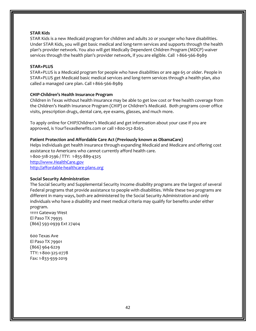#### **[STAR Kids](https://hhs.texas.gov/services/health/medicaid-chip/programs/star-kids)**

STAR Kids is a new Medicaid program for children and adults 20 or younger who have disabilities. Under STAR Kids, you will get basic medical and long-term services and supports through the health plan's provider network. You also will get Medically Dependent Children Program (MDCP) waiver services through the health plan's provider network, if you are eligible. Call 1-866-566-8989

#### **[STAR+PLUS](https://hhs.texas.gov/services/health/medicaid-chip/programs/starplus)**

STAR+PLUS is a Medicaid program for people who have disabilities or are age 65 or older. People in STAR+PLUS get Medicaid basic medical services and long-term services through a health plan, also called a managed care plan. Call 1-866-566-8989

#### **CHIP-Children's Health Insurance Program**

Children in Texas without health insurance may be able to get low cost or free health coverage from the Children's Health Insurance Program (CHIP) or Children's Medicaid. Both programs cover office visits, prescription drugs, dental care, eye exams, glasses, and much more.

To apply online for CHIP/Children's Medicaid and get information about your case if you are approved, is YourTexasBenefits.com or call 1-800-252-8263.

#### **Patient Protection and Affordable Care Act (Previously known as ObamaCare)**

Helps individuals get health insurance through expanding Medicaid and Medicare and offering cost assistance to Americans who cannot currently afford health care. 1-800-318-2596 / TTY: 1-855-889-4325 [http://www.HealthCare.gov](http://www.healthcare.gov/) [http://affordable-healthcare-plans.org](http://affordable-healthcare-plans.org/)

#### **Social Security Administration**

The Social Security and Supplemental Security Income disability programs are the largest of several Federal programs that provide assistance to people with disabilities. While these two programs are different in many ways, both are administered by the Social Security Administration and only individuals who have a disability and meet medical criteria may qualify for benefits under either program. 11111 Gateway West

El Paso TX 79935 (866) 593-0939 Ext 27404

600 Texas Ave El Paso TX 79901 (866) 964-6229 TTY: 1-800-325-0778 Fax: 1-833-939-2019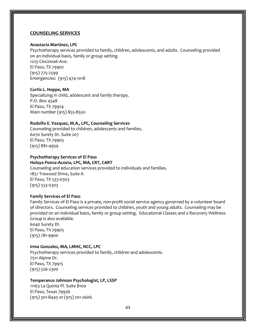#### **COUNSELING SERVICES**

#### **Anastacia Martinez, LPC**

Psychotherapy services provided to family, children, adolescents, and adults. Counseling provided on an individual basis, family or group setting.

1225 Cincinnati Ave. El Paso, TX 79902 (915) 775-2599 Emergencies: (915) 474-1018

#### **Curtis L. Hoppe, MA**

Specializing in child, adolescent and family therapy. P.O. Box 4548 El Paso, TX 79924 Main number (915) 855-8550

#### **Rodolfo E. Vazquez, M.A., LPC, Counseling Services**

Counseling provided to children, adolescents and families. 6070 Surety Dr. Suite 207 El Paso, TX 79905 (915) 881-4959

#### **Psychotherapy Services of El Paso Holaya Ponce-Acosta, LPC, MA, CRT, CART**

Counseling and education services provided to individuals and families. 1851 Trawood Drive, Suite A El Paso, TX 533-0303 (915) 533-0303

#### **Family Services of El Paso**

Family Services of El Paso is a private, non-profit social service agency governed by a volunteer board of directors. Counseling services provided to children, youth and young adults. Counseling may be provided on an individual basis, family or group setting. Educational Classes and a Recovery Wellness Group is also available. 6040 Surety Dr.

El Paso, TX 79905 (915) 781-9900

#### **Irma Gonzalez, MA, LMHC, NCC, LPC**

Psychotherapy services provided to family, children and adolescents. 7511 Alpine Dr. El Paso, TX 79915 (915) 526-2300

#### **Temperance Johnson Psychologist, LP, LSSP**

11163 La Quinta Pl. Suite B100 El Paso, Texas 79936 [\(915\) 301-8445](tel:+1-915-301-8445) or (915) 201-2606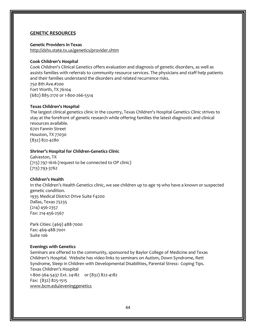#### **GENETIC RESOURCES**

#### **Genetic Providers in Texas**

<http://dshs.state.tx.us/genetics/provider.shtm>

#### **Cook Children's Hospital**

Cook Children's Clinical Genetics offers evaluation and diagnosis of genetic disorders, as well as assists families with referrals to community resource services. The physicians and staff help patients and their families understand the disorders and related recurrence risks. 750 8th Ave.#200 Fort Worth, TX 76104 (682) 885-2170 or 1-800-266-5514

#### **Texas Children's Hospital**

The largest clinical genetics clinic in the country, Texas Children's Hospital Genetics Clinic strives to stay at the forefront of genetic research while offering families the latest diagnostic and clinical resources available. 6701 Fannin Street Houston, TX 77030 (832) 822-4280

#### **Shriner's Hospital for Children-Genetics Clinic**

Galveston, TX (713) 797-1616 (request to be connected to OP clinic) (713) 793-3762

#### **Children's Health**

In the Children's Health Genetics clinic, we see children up to age 19 who have a known or suspected genetic condition. 1935 Medical District Drive Suite F4200 Dallas, Texas 75235 (214) 456-2357 Fax: 214-456-2567

Park Cities: (469) 488-7000 Fax: 469-488-7001 Suite 106

#### **Evenings with Genetics**

Seminars are offered to the community, sponsored by Baylor College of Medicine and Texas Children's Hospital. Website has video links to seminars on Autism, Down Syndrome, Rett Syndrome, Sleep in Children with Developmental Disabilities, Parental Stress: Coping Tips. Texas Children's Hospital 1-800-364-5437 Ext. 24182 or (832) 822-4182 Fax: (832) 825-1515 [www.bcm.edu/eveninggenetics](http://www.bcm.edu/eveninggenetics)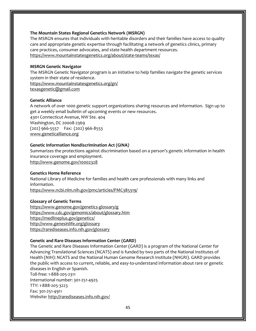#### **The Mountain States Regional Genetics Network (MSRGN)**

The MSRGN ensures that individuals with heritable disorders and their families have access to quality care and appropriate genetic expertise through facilitating a network of genetics clinics, primary care practices, consumer advocates, and state health department resources. <https://www.mountainstatesgenetics.org/about/state-teams/texas/>

#### **MSRGN Genetic Navigator**

The MSRGN Genetic Navigator program is an initiative to help families navigate the genetic services system in their state of residence.

<https://www.mountainstatesgenetics.org/gn/>

[texasgenetic@gmail.com](mailto:texasgenetic@gmail.com)

#### **Genetic Alliance**

A network of over 1000 genetic support organizations sharing resources and information. Sign up to get a weekly email bulletin of upcoming events or new resources. 4301 Connecticut Avenue, NW Ste. 404 Washington, DC 20008-2369 (202) 966-5557 Fax: (202) 966-8553 [www.geneticalliance.org](http://www.geneticalliance.org/)

#### **Genetic Information Nondiscrimination Act (GINA)**

Summarizes the protections against discrimination based on a person's genetic information in health insurance coverage and employment. <http://www.genome.gov/10002328>

#### **Genetics Home Reference**

National Library of Medicine for families and health care professionals with many links and information.

<https://www.ncbi.nlm.nih.gov/pmc/articles/PMC385319/>

#### **Glossary of Genetic Terms**

<https://www.genome.gov/genetics-glossary/g> <https://www.cdc.gov/genomics/about/glossary.htm> <https://medlineplus.gov/genetics/> <http://www.genesinlife.org/glossary> <https://rarediseases.info.nih.gov/glossary>

#### **Genetic and Rare Diseases Information Center (GARD)**

The Genetic and Rare Diseases Information Center (GARD) is a program of the National Center for Advancing Translational Sciences (NCATS) and is funded by two parts of the National Institutes of Health (NIH): NCATS and the National Human Genome Research Institute (NHGRI). GARD provides the public with access to current, reliable, and easy-to-understand information about rare or genetic diseases in English or Spanish. Toll-free: 1-888-205-2311 International number: 301-251-4925 TTY: 1-888-205-3223 Fax: 301-251-4911 Website[: http://rarediseases.info.nih.gov/](http://rarediseases.info.nih.gov/)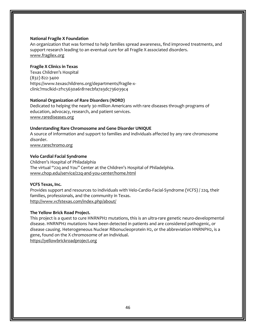#### **National Fragile X Foundation**

An organization that was formed to help families spread awareness, find improved treatments, and support research leading to an eventual cure for all Fragile X associated disorders. [www.fragilex.org](http://www.fragilex.org/)

#### **Fragile X Clinics in Texas**

Texas Children's Hospital (832) 822-3400 https://www.texaschildrens.org/departments/fragile-xclinic?msclkid=2f1c5630a61811ecbfa7a3dc736039c4

#### **National Organization of Rare Disorders (NORD)**

Dedicated to helping the nearly 30 million Americans with rare diseases through programs of education, advocacy, research, and patient services. [www.rarediseases.org](http://www.rarediseases.org/)

#### **Understanding Rare Chromosome and Gene Disorder UNIQUE**

A source of information and support to families and individuals affected by any rare chromosome disorder.

[www.rarechromo.org](http://www.rarechromo.org/)

#### **Velo Cardial Facial Syndrome**

Children's Hospital of Philadalphia The virtual "22q and You" Center at the Children's Hospital of Philadelphia. [www.chop.edu/service/22q-and-you-center/home.html](http://www.chop.edu/service/22q-and-you-center/home.html)

#### **VCFS Texas, Inc.**

Provides support and resources to individuals with Velo-Cardio-Facial-Syndrome (VCFS) / 22q, their families, professionals, and the community in Texas. <http://www.vcfstexas.com/index.php/about/>

#### **The Yellow Brick Road Project.**

This project is a quest to cure HNRNPH2 mutations, this is an ultra-rare genetic neuro-developmental disease. HNRNPH2 mutations have been detected in patients and are considered pathogenic, or disease causing. Heterogeneous Nuclear Ribonucleoprotein H2, or the abbreviation HNRNPH2, is a gene, found on the X chromosome of an individual. [https://yellowbrickroadproject.org](https://yellowbrickroadproject.org/)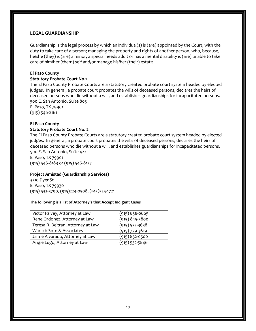#### **LEGAL GUARDIANSHIP**

Guardianship is the legal process by which an individual(s) is (are) appointed by the Court, with the duty to take care of a person; managing the property and rights of another person, who, because, he/she (they) is (are) a minor, a special needs adult or has a mental disability is (are) unable to take care of him/her (them) self and/or manage his/her (their) estate.

#### **El Paso County**

#### **Statutory Probate Court No.1**

The El Paso County Probate Courts are a statutory created probate court system headed by elected judges. In general, a probate court probates the wills of deceased persons, declares the heirs of deceased persons who die without a will, and establishes guardianships for incapacitated persons. 500 E. San Antonio, Suite 803

El Paso, TX 79901 (915) 546-2161

#### **El Paso County**

#### **Statutory Probate Court No. 2**

The El Paso County Probate Courts are a statutory created probate court system headed by elected judges. In general, a probate court probates the wills of deceased persons, declares the heirs of deceased persons who die without a will, and establishes guardianships for incapacitated persons. 500 E. San Antonio, Suite 422 El Paso, TX 79901

(915) 546-8183 or (915) 546-8127

#### **Project Amistad (Guardianship Services)**

3210 Dyer St. El Paso, TX 79930 (915) 532-3790, (915)224-0508, (915)525-1721

#### **The following is a list of Attorney's that Accept Indigent Cases**

| Victor Falvey, Attorney at Law     | $(915)$ 858-0665   |
|------------------------------------|--------------------|
| Rene Ordonez, Attorney at Law      | $(915) 845 - 5800$ |
| Teresa R. Beltran, Attorney at Law | $(915)$ 532-3638   |
| Warach Soto & Associates           | $(915)$ 779-3619   |
| Jaime Alvarado, Attorney at Law    | $(915)$ 852-0500   |
| Angie Lugo, Attorney at Law        | $(915)$ 532-5846   |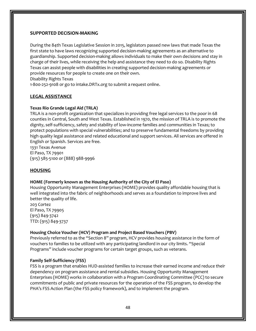#### **SUPPORTED DECISION-MAKING**

During the 84th Texas Legislative Session in 2015, legislators passed new laws that made Texas the first state to have laws recognizing supported decision-making agreements as an alternative to guardianship. Supported decision-making allows individuals to make their own decisions and stay in charge of their lives, while receiving the help and assistance they need to do so. Disability Rights Texas can assist people with disabilities in creating supported decision-making agreements or provide resources for people to create one on their own.

Disability Rights Texas

1-800-252-9108 or go to [intake.DRTx.org](https://securec24.ezhostingserver.com/drtx-org/WebIntake/) to submit a request online.

### **LEGAL ASSISTANCE**

#### **Texas Rio Grande Legal Aid (TRLA)**

TRLA is a non-profit organization that specializes in providing free legal services to the poor in 68 counties in Central, South and West Texas. Established in 1970, the mission of TRLA is to promote the dignity, self-sufficiency, safety and stability of low-income families and communities in Texas; to protect populations with special vulnerabilities; and to preserve fundamental freedoms by providing high quality legal assistance and related educational and support services. All services are offered in English or Spanish. Services are free.

1331 Texas Avenue El Paso, TX 79901 (915) 585-5100 or (888) 988-9996

#### **HOUSING**

#### **HOME (Formerly known as the Housing Authority of the City of El Paso)**

Housing Opportunity Management Enterprises (HOME) provides quality affordable housing that is well integrated into the fabric of neighborhoods and serves as a foundation to improve lives and better the quality of life.

203 Cortez El Paso, TX 79905 (915) 849-3742 TTD: (915) 849-3737

#### **Housing Choice Voucher (HCV) Program and Project Based Vouchers (PBV)**

Previously referred to as the "Section 8" program, HCV provides housing assistance in the form of vouchers to families to be utilized with any participating landlord in our city limits. "Special Programs" include voucher programs for certain target groups, such as veterans.

#### **Family Self-Sufficiency (FSS)**

FSS is a program that enables HUD-assisted families to increase their earned income and reduce their dependency on program assistance and rental subsidies. Housing Opportunity Management Enterprises (HOME) works in collaboration with a Program Coordinating Committee (PCC) to secure commitments of public and private resources for the operation of the FSS program, to develop the PHA's FSS Action Plan (the FSS policy framework), and to implement the program.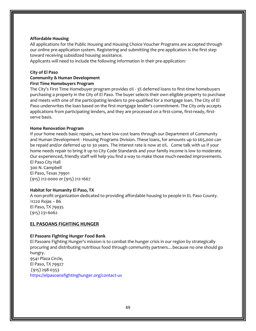#### **Affordable Housing**

All applications for the Public Housing and Housing Choice Voucher Programs are accepted through our online pre-application system. Registering and submitting the pre-application is the first step toward receiving subsidized housing assistance.

Applicants will need to include the following information in their pre-application:

#### **City of El Paso**

#### **Community & Human Development First Time Homebuyers Program**

The City's First Time Homebuyer program provides 0% - 3% deferred loans to first-time homebuyers purchasing a property in the City of El Paso. The buyer selects their own eligible property to purchase and meets with one of the participating lenders to pre-qualified for a mortgage loan. The City of El Paso underwrites the loan based on the first mortgage lender's commitment. The City only accepts applications from participating lenders, and they are processed on a first-come, first-ready, firstserve basis.

#### **Home Renovation Program**

If your home needs basic repairs, we have low-cost loans through our Department of Community and Human Development - Housing Programs Division. These loans, for amounts up to \$65,000 can be repaid and/or deferred up to 30 years. The interest rate is now at 0%. Come talk with us if your home needs repair to bring it up to City Code Standards and your family income is low to moderate. Our experienced, friendly staff will help you find a way to make those much-needed improvements. El Paso City Hall

300 N. Campbell El Paso, Texas 79901 (915) 212-0000 or (915) 212-1667

#### **Habitat for Humanity El Paso, TX**

A non-profit organization dedicated to providing affordable housing to people in EL Paso County. 11220 Rojas – B6 El Paso, TX 79935 (915) 231-6062

#### **EL PASOANS FIGHTING HUNGER**

#### **El Pasoans Fighting Hunger Food Bank**

El Pasoans Fighting Hunger's mission is to combat the hunger crisis in our region by strategically procuring and distributing nutritious food through community partners…because no one should go hungry. 9541 Plaza Circle,

El Paso, TX 79927 (915) 298-0353 https://elpasoansfightinghunger.org/contact-us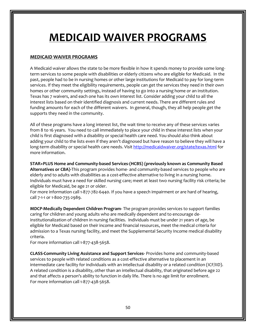# **MEDICAID WAIVER PROGRAMS**

## **MEDICAID WAIVER PROGRAMS**

A Medicaid waiver allows the state to be more flexible in how it spends money to provide some longterm services to some people with disabilities or elderly citizens who are eligible for Medicaid. In the past, people had to be in nursing homes or other large institutions for Medicaid to pay for long-term services. If they meet the eligibility requirements, people can get the services they need in their own homes or other community settings, instead of having to go into a nursing home or an institution. Texas has 7 waivers, and each one has its own interest list. Consider adding your child to all the interest lists based on their identified diagnosis and current needs. There are different rules and funding amounts for each of the different waivers. In general, though, they all help people get the supports they need in the community.

All of these programs have a long interest list, the wait time to receive any of these services varies from 8 to 16 years. You need to call immediately to place your child in these interest lists when your child is first diagnosed with a disability or special health care need. You should also think about adding your child to the lists even if they aren't diagnosed but have reason to believe they will have a long-term disability or special health care needs. Visit<http://medicaidwaiver.org/state/texas.html> for more information.

**STAR+PLUS Home and Community-based Services-(HCBS) (previously known as Community Based Alternatives or CBA)-**This program provides home- and community-based services to people who are elderly and to adults with disabilities as a cost-effective alternative to living in a nursing home. Individuals must have a need for skilled nursing care; meet at least two nursing facility risk criteria; be eligible for Medicaid, be age 21 or older.

For more information call 1-877-782-6440. If you have a speech impairment or are hard of hearing, call 7-1-1 or 1-800-735-2989.

**MDCP-Medically Dependent Children Program-** The program provides services to support families caring for children and young adults who are medically dependent and to encourage deinstitutionalization of children in nursing facilities. Individuals must be under 21 years of age, be eligible for Medicaid based on their income and financial resources, meet the medical criteria for admission to a Texas nursing facility, and meet the Supplemental Security Income medical disability criteria.

For more information call 1-877-438-5658.

**CLASS-Community Living Assistance and Support Services-** Provides home and community-based services to people with related conditions as a cost-effective alternative to placement in an intermediate care facility for individuals with an intellectual disability or a related condition (ICF/IID). A related condition is a disability, other than an intellectual disability, that originated before age 22 and that affects a person's ability to function in daily life. There is no age limit for enrollment. For more information call 1-877-438-5658.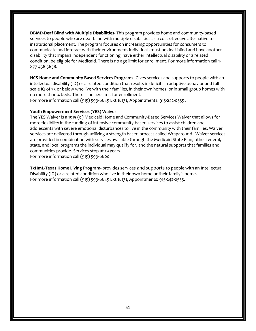**DBMD-Deaf Blind with Multiple Disabilities-** This program provides home and community-based services to people who are deaf-blind with multiple disabilities as a cost-effective alternative to institutional placement. The program focuses on increasing opportunities for consumers to communicate and interact with their environment. Individuals must be deaf-blind and have another disability that impairs independent functioning; have either intellectual disability or a related condition, be eligible for Medicaid. There is no age limit for enrollment. For more information call 1- 877-438-5658.

**HCS-Home and Community Based Services Programs-** Gives services and supports to people with an intellectual disability (ID) or a related condition that results in deficits in adaptive behavior and full scale IQ of 75 or below who live with their families, in their own homes, or in small group homes with no more than 4 beds. There is no age limit for enrollment.

For more information call (915) 599-6645 Ext 18131, Appointments: 915-242-0555 .

#### **Youth Empowerment Services (YES) Waiver**

The YES Waiver is a 1915 (c ) Medicaid Home and Community-Based Services Waiver that allows for more flexibility in the funding of intensive community-based services to assist children and adolescents with severe emotional disturbances to live in the community with their families. Waiver services are delivered through utilizing a strength based process called Wraparound. Waiver services are provided in combination with services available through the Medicaid State Plan, other federal, state, and local programs the individual may qualify for, and the natural supports that families and communities provide. Services stop at 19 years. For more information call (915) 599-6600

**TxHmL-Texas Home Living Program-** provides services and supports to people with an Intellectual Disability (ID) or a related condition who live in their own home or their family's home. For more information call (915) 599-6645 Ext 18131, Appointments: 915-242-0555.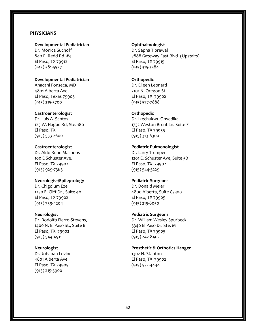#### **PHYSICIANS**

#### **Developmental Pediatrician**

Dr. Monica Suchoff 840 E. Redd Rd. #3 El Paso, TX 79912 (915) 581-5557

#### **Developmental Pediatrician**

Anacani Fonseca, MD 4801 Alberta Ave, El Paso, Texas 79905 (915) 215-5700

#### **Gastroenterologist**

Dr. Luis A. Santos 125 W. Hague Rd, Ste. 180 El Paso, TX (915) 533-2600

#### **Gastroenterologist**

Dr. Aldo Rene Maspons 100 E Schuster Ave. El Paso, TX 79902 (915) 929-7363

#### **Neurologist/Epileptology**

Dr. Chigolum Eze 1250 E. Cliff Dr., Suite 4A El Paso, TX 79902 (915) 759-4204

#### **Neurologist**

Dr. Rodolfo Fierro-Stevens, 1400 N. El Paso St., Suite B El Paso, TX 79902 (915) 544-4911

#### **Neurologist**

Dr. Johanan Levine 4801 Alberta Ave El Paso, TX 79905 (915) 215-5900

#### **Ophthalmologist**  Dr. Sapna Tibrewal

7888 Gateway East Blvd. (Upstairs) El Paso, TX 79915 (915) 315-2584

#### **Orthopedic**

Dr. Eileen Leonard 2101 N. Oregon St. El Paso, TX 79902 (915) 577-7888

#### **Orthopedic**

Dr. Ikechukwu Onyedika 1732 Weston Brent Ln. Suite F El Paso, TX 79935 (915) 313-6300

#### **Pediatric Pulmonologist**

Dr. Larry Tremper 1201 E. Schuster Ave, Suite 5B El Paso, TX 79902 (915) 544-3229

#### **Pediatric Surgeons**

Dr. Donald Meier 4800 Alberta, Suite C3300 El Paso, TX 79905 (915) 215-6050

#### **Pediatric Surgeons**

Dr. William Wesley Spurbeck 5340 El Paso Dr. Ste. M El Paso, TX 79905 (915) 242-8402

# **Prosthetic & Orthotics Hanger**

1302 N. Stanton El Paso, TX 79902 (915) 532-4444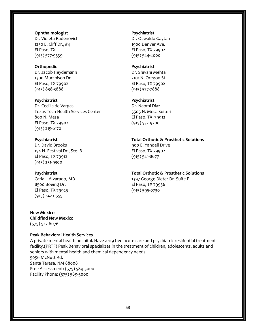#### **Ophthalmologist**

Dr. Violeta Radenovich 1250 E. Cliff Dr., #4 El Paso, TX (915) 577-9339

#### **Orthopedic**

Dr. Jacob Heydemann 1300 Murchison Dr El Paso, TX 79902 (915) 838-3888

**Psychiatrist** 

Dr. Cecilia de Vargas Texas Tech Health Services Center 800 N. Mesa El Paso, TX 79902 (915) 215-6170

#### **Psychiatrist**

Dr. David Brooks 154 N. Festival Dr., Ste. B El Paso, TX 79912 (915) 231-9300

#### **Psychiatrist**

Carla I. Alvarado, MD 8500 Boeing Dr. El Paso, TX 79925 (915) 242-0555

**New Mexico Childfind New Mexico** (575) 527-6076

#### **Peak Behavioral Health Services**

A private mental health hospital. Have a 119-bed acute care and psychiatric residential treatment facility.(PRTF) Peak Behavioral specializes in the treatment of children, adolescents, adults and seniors with mental health and chemical dependency needs. 5056 McNutt Rd. Santa Teresa, NM 88008 Free Assessment: (575) 589-3000 Facility Phone: (575) 589-3000

#### **Psychiatrist**

Dr. Oswaldo Gaytan 1900 Denver Ave. El Paso, TX 79902 (915) 544-4000

#### **Psychiatrist**

Dr. Shivani Mehta 2101 N. Oregon St. El Paso, TX 79902 (915) 577-7888

#### **Psychiatrist**

Dr. Naomi Diaz 5505 N. Mesa Suite 1 El Paso, TX 79912 (915) 532-9200

#### **Total Orthotic & Prosthetic Solutions**

900 E. Yandell Drive El Paso, TX 79902 (915) 541-8677

#### **Total Orthotic & Prosthetic Solutions**

1397 George Dieter Dr. Suite F El Paso, TX 79936 (915) 595-0730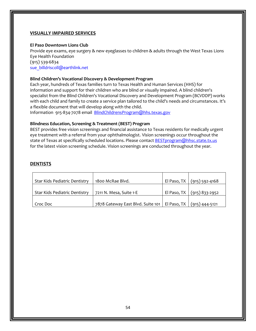#### **VISUALLY IMPAIRED SERVICES**

#### **El Paso Downtown Lions Club**

Provide eye exams, eye surgery & new eyeglasses to children & adults through the West Texas Lions Eye Health Foundation (915) 539-6834 [sue\\_billdriscoll@earthlink.net](mailto:sue_billdriscoll@earthlink.net)

#### **Blind Children's Vocational Discovery & Development Program**

Each year, hundreds of Texas families turn to Texas Health and Human Services (HHS) for information and support for their children who are blind or visually impaired. A blind children's specialist from the Blind Children's Vocational Discovery and Development Program (BCVDDP) works with each child and family to create a service plan tailored to the child's needs and circumstances. It's a flexible document that will develop along with the child.

Information 915-834-7078 email [BlindChildrensProgram@hhs.texas.gov](mailto:BlindChildrensProgram@hhs.texas.gov)

#### **Blindness Education, Screening & Treatment (BEST) Program**

BEST provides free vision screenings and financial assistance to Texas residents for medically urgent eye treatment with a referral from your ophthalmologist. Vision screenings occur throughout the state of Texas at specifically scheduled locations. Please contact **BESTprogram@hhsc.state.tx.us** for the latest vision screening schedule. Vision screenings are conducted throughout the year.

#### **DENTISTS**

| Star Kids Pediatric Dentistry | 1800 McRae Blyd.                                                 | El Paso, TX   (915) 592-4168 |
|-------------------------------|------------------------------------------------------------------|------------------------------|
|                               |                                                                  |                              |
| Star Kids Pediatric Dentistry | 7211 N. Mesa, Suite 1-E                                          | El Paso, TX (915) 833-2952   |
|                               |                                                                  |                              |
| Croc Doc                      | 7878 Gateway East Blvd. Suite 101   El Paso, TX   (915) 444-5121 |                              |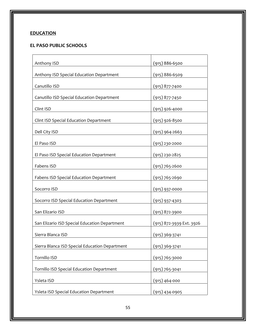# **EDUCATION**

# **EL PASO PUBLIC SCHOOLS**

| Anthony ISD                                    | $(915) 886 - 6500$       |
|------------------------------------------------|--------------------------|
| Anthony ISD Special Education Department       | $(915) 886 - 6509$       |
| Canutillo ISD                                  | $(915)$ 877-7400         |
| Canutillo ISD Special Education Department     | $(915)$ 877-7450         |
| Clint ISD                                      | $(915)$ 926-4000         |
| Clint ISD Special Education Department         | $(915)$ 926-8500         |
| Dell City ISD                                  | $(915)$ 964-2663         |
| El Paso ISD                                    | $(915)$ 230-2000         |
| El Paso ISD Special Education Department       | $(915)$ 230-2825         |
| Fabens ISD                                     | $(915)$ 765-2600         |
| <b>Fabens ISD Special Education Department</b> | $(915)$ 765-2690         |
| Socorro ISD                                    | $(915)$ 937-0000         |
| Socorro ISD Special Education Department       | $(915)$ 937-4303         |
| San Elizario ISD                               | $(915)$ 872-3900         |
| San Elizario ISD Special Education Department  | (915) 872-3939 Ext. 3926 |
| Sierra Blanca ISD                              | $(915)$ 369-3741         |
| Sierra Blanca ISD Special Education Department | (915) 369-3741           |
| Tornillo ISD                                   | $(915)$ 765-3000         |
| Tornillo ISD Special Education Department      | $(915) 765 - 3041$       |
| Ysleta ISD                                     | $(915) 464 - 000$        |
| Ysleta ISD Special Education Department        | $(915)$ 434-0905         |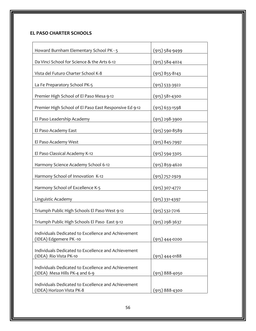# **EL PASO CHARTER SCHOOLS**

| Howard Burnham Elementary School PK - 5                                               | $(915) 584 - 9499$ |
|---------------------------------------------------------------------------------------|--------------------|
| Da Vinci School for Science & the Arts 6-12                                           | $(915) 584 - 4024$ |
| Vista del Futuro Charter School K-8                                                   | $(915)$ 855-8143   |
| La Fe Preparatory School PK-5                                                         | $(915) 533 - 3922$ |
| Premier High School of El Paso Mesa 9-12                                              | $(915) 581 - 4300$ |
| Premier High School of El Paso East Responsive Ed 9-12                                | $(915)$ 633-1598   |
| El Paso Leadership Academy                                                            | $(915)$ 298-3900   |
| El Paso Academy East                                                                  | $(915) 590 - 8589$ |
| El Paso Academy West                                                                  | $(915)$ 845-7997   |
| El Paso Classical Academy K-12                                                        | $(915) 594 - 3305$ |
| Harmony Science Academy School 6-12                                                   | $(915)$ 859-4620   |
| Harmony School of Innovation K-12                                                     | $(915)$ 757-2929   |
| Harmony School of Excellence K-5                                                      | $(915)$ 307-4772   |
| Linguistic Academy                                                                    | $(915)$ 331-4397   |
| Triumph Public High Schools El Paso West 9-12                                         | $(915) 532 - 7216$ |
| Triumph Public High Schools El Paso East 9-12                                         | $(915)$ 298-3637   |
| Individuals Dedicated to Excellence and Achievement                                   |                    |
| (IDEA) Edgemere PK -10                                                                | (915) 444-0200     |
| Individuals Dedicated to Excellence and Achievement                                   | $(915)$ 444-0188   |
| (IDEA) Rio Vista PK-10                                                                |                    |
| Individuals Dedicated to Excellence and Achievement<br>(IDEA) Mesa Hills PK-4 and 6-9 | (915) 888-4050     |
| Individuals Dedicated to Excellence and Achievement<br>(IDEA) Horizon Vista PK-8      | $(915) 888 - 4300$ |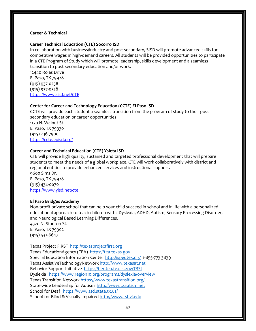#### **Career & Technical**

#### **Career Technical Education (CTE) Socorro ISD**

In collaboration with business/industry and post-secondary, SISD will promote advanced skills for competitive wages in high-demand careers. All students will be provided opportunities to participate in a CTE Program of Study which will promote leadership, skills development and a seamless transition to post-secondary education and/or work.

12440 Rojas Drive El Paso, TX 79928 (915) 937-0238 (915) 937-0328 <https://www.sisd.net/CTE>

#### **Center for Career and Technology Education (CCTE) El Paso ISD**

CCTE will provide each student a seamless transition from the program of study to their postsecondary education or career opportunities 1170 N. Walnut St. El Paso, TX 79930 (915) 236-7900 <https://ccte.episd.org/>

#### **Career and Technical Education (CTE) Ysleta ISD**

CTE will provide high quality, sustained and targeted professional development that will prepare students to meet the needs of a global workplace. CTE will work collaboratively with district and regional entities to provide enhanced services and instructional support. 9600 Sims Dr. El Paso, TX 79928 (915) 434-0670 <https://www.yisd.net/cte>

#### **El Paso Bridges Academy**

Non-profit private school that can help your child succeed in school and in life with a personalized educational approach to teach children with: Dyslexia, ADHD, Autism, Sensory Processing Disorder, and Neurological Based Learning Differences.

4320 N. Stanton St. El Paso, TX 79902 (915) 532-6647

Texas Project FIRST [http://texasprojectfirst.org](http://texasprojectfirst.org/) Texas EducationAgency (TEA) [https://tea.texas.gov](https://tea.texas.gov/) Speci al Education lnformation Center [http://spedtex.org](http://spedtex.org/) 1-855-773 3839 Texas AssistiveTechnologyNetwor[k http://www.texasat.net](http://www.texasat.net/) Behavior Support Initiative <https://tier.tea.texas.gov/TBSI> Dyslexia <https://www.region10.org/programs/dyslexia/overview> Texas Transition Network<https://www.texastransition.org/> State-wide Leadership for Autism [http://www.txautism.net](http://www.txautism.net/) School for Deaf <https://www.tsd.state.tx.us/> School for Blind & Visually Impaire[d http://www.tsbvi.edu](http://www.tsbvi.edu/)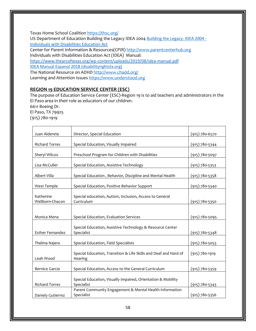Texas Home School Coalitio[n https://thsc.org/](https://thsc.org/)

US Department of Education Building the Legacy IDEA 2004 [Building the Legacy: IDEA 2004 -](https://sites.ed.gov/idea/building-the-legacy-idea-2004/) [Individuals with Disabilities Education Act](https://sites.ed.gov/idea/building-the-legacy-idea-2004/) Center for Parent Information & Resources(CPIR) [http://www.parentcenterhub.org](http://www.parentcenterhub.org/) Individuals with Disabilities Education Act (IDEA) Manual: <https://www.thearcoftexas.org/wp-content/uploads/2019/08/idea-manual.pdf> [IDEA Manual Espanol 2018 \(disabilityrightstx.org\)](https://media.disabilityrightstx.org/wp-content/uploads/2018/09/26233253/2018-IDEA-Manual-ESPANOL.pdf) The National Resource on ADHD<http://www.chadd.org/> Learning and Attention Issue[s https://www.understood.org](https://www.understood.org/)

# **REGION 19 EDUCATION SERVICE CENTER (ESC)**

The purpose of Education Service Center (ESC)-Region 19 is to aid teachers and administrators in the El Paso area in their role as educators of our children. 6611 Boeing Dr.

El Paso, TX 79925 (915) 780-1919

| Juan Alderete                | Director, Special Education                                                 | $(915)$ 780-6570   |
|------------------------------|-----------------------------------------------------------------------------|--------------------|
| <b>Richard Torres</b>        | Special Education, Visually Impaired                                        | $(915) 780 - 5344$ |
| Sheryl Wilcox                | Preschool Program for Children with Disabilities                            | $(915) 780 - 5097$ |
| Lisa McCuller                | Special Education, Assistive Technology                                     | $(915) 780 - 5353$ |
| Albert Villa                 | Special Education, Behavior, Discipline and Mental Health                   | $(915) 780 - 5358$ |
| West Temple                  | Special Education, Positive Behavior Support                                | $(915) 780 - 5340$ |
| Katherine<br>Wellborn-Chacon | Special education, Autism, Inclusion, Access to General<br>Curriculum       | $(915)$ 780-5350   |
| Monica Mena                  | Special Education, Evaluation Services                                      | $(915)$ 780-5095   |
| <b>Esther Fernandez</b>      | Special Education, Assistive Technology & Resource Center<br>Specialist     | $(915) 780 - 5348$ |
| Thelma Najera                | Special Education, Field Specialists                                        | $(915) 780 - 5053$ |
| Leah Wood                    | Special Education, Transition & Life Skills and Deaf and Hard of<br>Hearing | $(915)$ 780-1919   |
| <b>Bernice Garcia</b>        | Special Education, Access to the General Curriculum                         | $(915) 780 - 5359$ |
| <b>Richard Torres</b>        | Special Education, Visually Impaired, Orientation & Mobility<br>Specialist  | $(915) 780 - 5343$ |
| Daniely Gutierrez            | Parent Community Engagement & Mental Health Information<br>Specialist       | $(915)$ 780-5356   |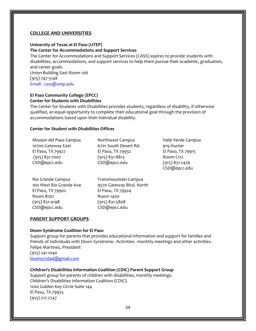#### **COLLEGE AND UNIVERSITIES**

#### **University of Texas at El Paso (UTEP)**

#### **The Center for Accommodations and Support Services**

The Center for Accommodations and Support Services (CASS) aspires to provide students with disabilities, accommodations, and support services to help them pursue their academic, graduation, and career goals. Union Building East Room 106 (915) 747-5148

Email: cass@utep.edu

#### **El Paso Community College (EPCC) Center for Students with Disabilities**

The Center for Students with Disabilities provides students, regardless of disability, if otherwise qualified, an equal opportunity to complete their educational goal through the provision of accommodations based upon their individual disability.

#### **Center for Student with Disabilities Offices**

| Mission del Paso Campus | Northwest Campus      |
|-------------------------|-----------------------|
| 10700 Gateway East      | 6701 South Desert Rd. |
| El Paso, TX 79927       | El Paso, TX 79932     |
| $(915)$ 831-7007        | $(915)$ 831-8815      |
| CSD@epcc.edu            | CSD@epcc.edu          |
|                         |                       |

Rio Grande Campus 100 West Rio Grande Ave. El Paso, TX 79902 Room B201 (915) 831-4198 CSD@epcc.edu

Transmountain Campus 9570 Gateway Blvd. North El Paso, TX 79924 Room 1400 (915) 831-5808 CSD@epcc.edu

Valle Verde Campus 919 Hunter El Paso, TX 79915 Room C112 (915) 831-2426 CSD@epcc.edu

#### **PARENT SUPPORT GROUPS**

#### **Down Syndrome Coalition for El Paso**

Support group for parents that provides educational information and support for families and friends of individuals with Down Syndrome. Activities: monthly meetings and other activities. Felipe Martinez, President (915) 241-1040 [tisomy21dad@gmail.com](mailto:tisomy21dad@gmail.com)

**Children's Disabilities Information Coalition (CDIC) Parent Support Group** Support group for parents of children with disabilities, monthly meetings. Children's Disabilities information Coalition (CDIC). 1200 Golden Key Circle Suite 144 El Paso, TX 79925 (915) 217-2747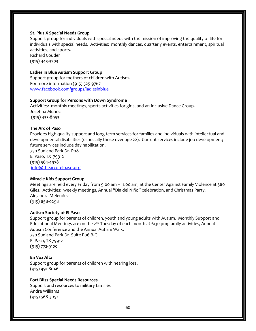#### **St. Pius X Special Needs Group**

Support group for individuals with special needs with the mission of improving the quality of life for individuals with special needs. Activities: monthly dances, quarterly events, entertainment, spiritual activities, and sports. Richard Couder

(915) 443-3703

#### **Ladies in Blue Autism Support Group**

Support group for mothers of children with Autism. For more information (915) 525-9767 [www.facebook.com/groups/ladiesinblue](http://www.facebook.com/groups/ladiesinblue)

#### **Support Group for Persons with Down Syndrome**

Activities: monthly meetings, sports activities for girls, and an Inclusive Dance Group. Josefina Muñoz (915) 433-8953

#### **The Arc of Paso**

Provides high quality support and long term services for families and individuals with intellectual and developmental disabilities (especially those over age 22). Current services include job development; future services include day habilitation.

750 Sunland Park Dr. P08 El Paso, TX 79912 (915) 564-4978 [info@thearcofelpaso.org](mailto:info@thearcofelpaso.org)

#### **Miracle Kids Support Group**

Meetings are held every Friday from 9:00 am – 11:00 am, at the Center Against Family Violence at 580 Giles. Activities: weekly meetings, Annual "Dia del Niño" celebration, and Christmas Party. Alejandra Melendez (915) 858-0298

#### **Autism Society of El Paso**

Support group for parents of children, youth and young adults with Autism. Monthly Support and Educational Meetings are on the  $2^{nd}$  Tuesday of each month at 6:30 pm; family activities, Annual Autism Conference and the Annual Autism Walk. 750 Sunland Park Dr. Suite P06 B-C El Paso, TX 79912 (915) 772-9100

#### **En Voz Alta**

Support group for parents of children with hearing loss. (915) 491-8046

#### **Fort Bliss Special Needs Resources**

Support and resources to military families Andre Williams (915) 568-3052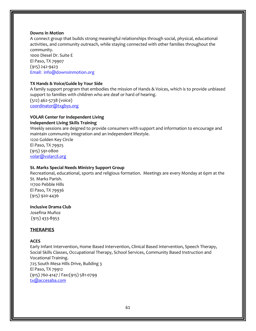#### **Downs in Motion**

A connect group that builds strong meaningful relationships through social, physical, educational activities, and community outreach, while staying connected with other families throughout the community.

1000 Diesel Dr. Suite E El Paso, TX 79907 (915) 242-9423 Email: info@downsinmotion.org

#### **TX Hands & Voice/Guide by Your Side**

A family support program that embodies the mission of Hands & Voices, which is to provide unbiased support to families with children who are deaf or hard of hearing. (512) 462-5738 (voice) [coordinator@txgbys.org](mailto:coordinator@txgbys.org)

## **VOLAR Center for Independent Living**

#### **Independent Living Skills Training**

Weekly sessions are deigned to provide consumers with support and information to encourage and maintain community integration and an independent lifestyle. 1220 Golden Key Circle El Paso, TX 79925 (915) 591-0800 [volar@volarcil.org](mailto:volar@volarcil.org)

#### **St. Marks Special Needs Ministry Support Group**

Recreational, educational, sports and religious formation. Meetings are every Monday at 6pm at the St. Marks Parish. 11700 Pebble Hills El Paso, TX 79936 (915) 920-4436

#### **Inclusive Drama Club**

Josefina Muñoz (915) 433-8953

#### **THERAPIES**

#### **ACES**

Early Infant Intervention, Home Based Intervention, Clinical Based Intervention, Speech Therapy, Social Skills Classes, Occupational Therapy, School Services, Community Based Instruction and Vocational Training. 725 South Mesa Hills Drive, Building 3 El Paso, TX 79912 (915) 760-4147 / Fax:(915) 581-0799 [tx@accesaba.com](mailto:tx@accesaba.com)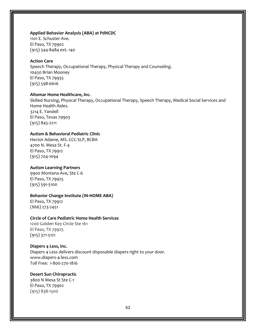#### **Applied Behavior Analysis (ABA) at PdNCDC**

1101 E. Schuster Ave. El Paso, TX 79902 (915) 544-8484 ext. 140

#### **Action Care**

Speech Therapy, Occupational Therapy, Physical Therapy and Counseling. 10450 Brian Mooney El Paso, TX 79935 (915) 598-6616

#### **Altomar Home Healthcare, Inc.**

Skilled Nursing, Physical Therapy, Occupational Therapy, Speech Therapy, Medical Social Services and Home Health Aides. 3214 E. Yandell El Paso, Texas 79903 (915) 845-2211

#### **Autism & Behavioral Pediatric Clinic**

Hector Adame, MS. CCC-SLP, BCBA 4700 N. Mesa St. F-4 El Paso, TX 79912 (915) 704-1094

#### **Autism Learning Partners**

9900 Montana Ave, Ste C-6 El Paso, TX 79925 (915) 591-5100

#### **Behavior Change Institute (IN-HOME ABA)**

El Paso, TX 79912 (866) 273-2451

#### **Circle of Care Pediatric Home Health Services**

1200 Golden Key Circle Ste 161 El Paso, TX 79925 (915) 371-5121

#### **Diapers 4 Less, Inc.**

Diapers 4 Less delivers discount disposable diapers right to your door. www.diapers-4-less.com Toll Free: 1-800-270-1816

#### **Desert Sun Chiropractic**

3800 N Mesa St Ste C-1 El Paso, TX 79902 (915) 838-1500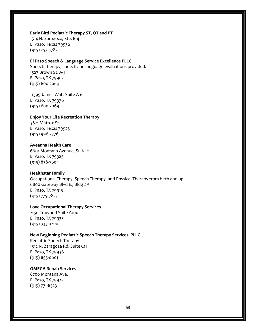#### **Early Bird [Pediatric Therapy ST, OT and PT](https://www.facebook.com/earlybirdtherapy/services/?service_id=885903631520426)**

1514 N. Zaragoza, Ste. B-4 El Paso, Texas 79936 (915) 257-5782

#### **El Paso Speech & Language Service Excellence PLLC**

Speech therapy, speech and language evaluations provided. 1527 Brown St. A-1 El Paso, TX 79902 (915) 600-2069

11395 James Watt Suite A-6 El Paso, TX 79936 (915) 600-2069

**[Enjoy Your Life Recreation Therapy](https://www.facebook.com/enjoyyourliferecreationcenter/)** 3621 Mattox St. El Paso, Texas 79925 (915) 996-2776

**Aveanna Health Care**  6601 Montana Avenue, Suite H El Paso, TX 79925 (915) 838-7604

#### **Healthstar Family**

Occupational Therapy, Speech Therapy, and Physical Therapy from birth and up. 6800 Gateway Blvd E., Bldg 4A El Paso, TX 79915 (915) 779-7827

#### **Love Occupational Therapy Services**

2150 Trawood Suite A100 El Paso, TX 79935 (915) 333-0200

#### **New Beginning Pediatric Speech Therapy Services, PLLC.**

Pediatric Speech Therapy 1512 N. Zaragoza Rd. Suite C11 El Paso, TX 79936 (915) 855-0601

#### **OMEGA Rehab Services**

8700 Montana Ave. El Paso, TX 79925 (915) 771-8523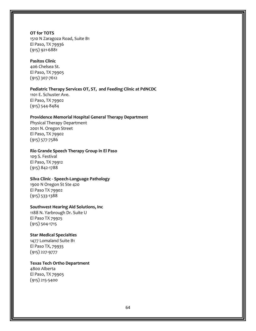#### **OT for TOTS**

1510 N Zaragoza Road, Suite B1 El Paso, TX 79936 (915) 921-6881

#### **Pasitos Clinic**

406 Chelsea St. El Paso, TX 79905 (915) 307-7612

#### **Pediatric Therapy Services OT, ST, and Feeding Clinic at PdNCDC**

1101 E. Schuster Ave. El Paso, TX 79902 (915) 544-8484

#### **Providence Memorial Hospital General Therapy Department**

Physical Therapy Department 2001 N. Oregon Street El Paso, TX 79902 (915) 577-7586

#### **Rio Grande Speech Therapy Group in El Paso**

109 S. Festival El Paso, TX 79912 (915) 842-1788

#### **Silva Clinic - Speech-Language Pathology**

1900 N Oregon St Ste 420 El Paso TX 79902 (915) 533-1388

#### **Southwest Hearing Aid Solutions, Inc**

1188 N. Yarbrough Dr. Suite U El Paso TX 79925 (915) 504-1715

#### **Star Medical Specialties**

1477 Lomaland Suite B1 El Paso TX, 79935 (915) 227-9777

#### **Texas Tech Ortho Department**

4800 Alberta El Paso, TX 79905 (915) 215-5400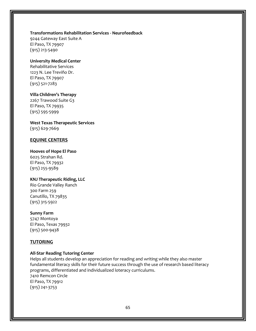#### **Transformations Rehabilitation Services - Neurofeedback**

9244 Gateway East Suite A El Paso, TX 79907 (915) 213-5490

#### **University Medical Center**

Rehabilitative Services 1223 N. Lee Treviño Dr. El Paso, TX 79907 (915) 521-7283

#### **Villa Children's Therapy**

2267 Trawood Suite G3 El Paso, TX 79935 (915) 595-5999

#### **West Texas Therapeutic Services** (915) 629-7669

#### **EQUINE CENTERS**

#### **Hooves of Hope El Paso**

6025 Strahan Rd. El Paso, TX 79932 (915) 255-9589

#### **KNJ Therapeutic Riding, LLC**

Rio Grande Valley Ranch 300 Farm 259 Canutillo, TX 79835 (915) 315-5922

#### **Sunny Farm**

5747 Montoya El Paso, Texas 79932 (915) 500-9438

#### **TUTORING**

#### **All-Star Reading Tutoring Center**

Helps all students develop an appreciation for reading and writing while they also master fundamental literacy skills for their future success through the use of research based literacy programs, differentiated and individualized loteracy curriculums. 7410 Remcon Circle El Paso, TX 79912 (915) 241-3753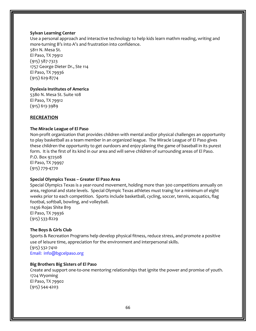#### **Sylvan Learning Center**

Use a personal approach and interactive technology to help kids learn mathm reading, writing and more-turning B's into A's and frustration into confidence.

5811 N. Mesa St. El Paso, TX 79912 (915) 587-7323 1757 George Dieter Dr., Ste 114 El Paso, TX 79936 (915) 629-8774

#### **Dyslexia Institutes of America**

5380 N. Mesa St. Suite 108 El Paso, TX 79912 (915) 613-3989

#### **RECREATION**

#### **The Miracle League of El Paso**

Non-profit organization that provides children with mental and/or physical challenges an opportunity to play basketball as a team member in an organized league. The Miracle League of El Paso gives these children the opportunity to get ourdoors and enjoy planing the game of baseball in its purest form. It is the first of its kind in our area and will serve children of surrounding areas of El Paso. P.O. Box 972508

El Paso, TX 79997 (915) 779-4770

#### **Special Olympics Texas – Greater El Paso Area**

Special Olympics Texas is a year-round movement, holding more than 300 competitions annually on area, regional and state levels. Special Olympic Texas athletes must traing for a minimum of eight weeks prior to each competition. Sports include basketball, cycling, soccer, tennis, acquatics, flag footbal, softball, bowling, and volleyball.

11436 Rojas Shite B19 El Paso, TX 79936 (915) 533-8229

#### **The Boys & Girls Club**

Sports & Recreation Programs help develop physical fitness, reduce stress, and promote a positive use of leisure time, appreciation for the environment and interpersonal skills. (915) 532-7410 Email: info@bgcelpaso.org

#### **Big Brothers Big Sisters of El Paso**

Create and support one-to-one mentoring relationships that ignite the power and promise of youth. 1724 Wyoming El Paso, TX 79902 (915) 544-4203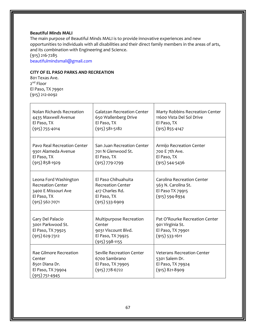#### **Beautiful Minds MALI**

The main purpose of Beautiful Minds MALI is to provide innovative experiences and new opportunities to individuals with all disabilities and their direct family members in the areas of arts, and its combination with Engineering and Science. (915) 216-7285 beautifulmindsmali@gmail.com

#### **CITY OF EL PASO PARKS AND RECREATION**

801 Texas Ave. 2<sup>nd</sup> Floor El Paso, TX 79901 (915) 212-0092

| Nolan Richards Recreation<br>4435 Maxwell Avenue<br>El Paso, TX<br>$(915)$ 755-4014                           | <b>Galatzan Recreation Center</b><br>650 Wallenberg Drive<br>El Paso, TX<br>$(915) 581 - 5182$        | Marty Robbins Recreation Center<br>11600 Vista Del Sol Drive<br>El Paso, TX<br>$(915)$ 855-4147    |
|---------------------------------------------------------------------------------------------------------------|-------------------------------------------------------------------------------------------------------|----------------------------------------------------------------------------------------------------|
| Pavo Real Recreation Center<br>9301 Alameda Avenue<br>El Paso, TX<br>$(915)$ 858-1929                         | San Juan Recreation Center<br>701 N Glenwood St.<br>El Paso, TX<br>$(915)$ 779-2799                   | Armijo Recreation Center<br>700 E 7th Ave.<br>El Paso, TX<br>$(915) 544 - 5436$                    |
| Leona Ford Washington<br><b>Recreation Center</b><br>3400 E Missouri Ave<br>El Paso, TX<br>$(915) 562 - 7071$ | El Paso Chihuahuita<br><b>Recreation Center</b><br>417 Charles Rd.<br>El Paso, TX<br>$(915)$ 533-6909 | <b>Carolina Recreation Center</b><br>563 N. Carolina St.<br>El Paso TX 79915<br>$(915) 594 - 8934$ |
| Gary Del Palacio<br>3001 Parkwood St.<br>El Paso, TX 79925<br>$(915)$ 629-7312                                | Multipurpose Recreation<br>Center<br>9031 Viscount Blvd.<br>El Paso, TX 79925<br>$(915)$ 598-1155     | Pat O'Rourke Recreation Center<br>901 Virginia St.<br>El Paso, TX 79901<br>$(915)$ 533-1611        |
| Rae Gilmore Recreation<br>Center<br>8501 Diana Dr.<br>El Paso, TX 79904<br>$(915) 751 - 4945$                 | <b>Seville Recreation Center</b><br>6700 Sambrano<br>El Paso, TX 79905<br>$(915)$ 778-6722            | <b>Veterans Recreation Center</b><br>5301 Salem Dr.<br>El Paso, TX 79924<br>$(915)$ 821-8909       |